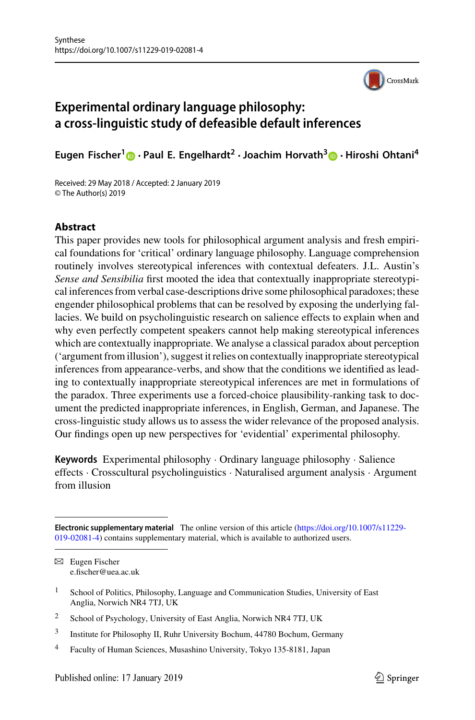

# **Experimental ordinary language philosophy: a cross-linguistic study of defeasible default inferences**

**Eugen Fischer[1](http://orcid.org/0000-0003-2088-1610) · Paul E. Engelhardt<sup>2</sup> ·Joachim Horvath[3](http://orcid.org/0000-0003-2713-5135) · Hiroshi Ohtani<sup>4</sup>**

Received: 29 May 2018 / Accepted: 2 January 2019 © The Author(s) 2019

## **Abstract**

This paper provides new tools for philosophical argument analysis and fresh empirical foundations for 'critical' ordinary language philosophy. Language comprehension routinely involves stereotypical inferences with contextual defeaters. J.L. Austin's *Sense and Sensibilia* first mooted the idea that contextually inappropriate stereotypical inferences from verbal case-descriptions drive some philosophical paradoxes; these engender philosophical problems that can be resolved by exposing the underlying fallacies. We build on psycholinguistic research on salience effects to explain when and why even perfectly competent speakers cannot help making stereotypical inferences which are contextually inappropriate. We analyse a classical paradox about perception ('argument from illusion'), suggest it relies on contextually inappropriate stereotypical inferences from appearance-verbs, and show that the conditions we identified as leading to contextually inappropriate stereotypical inferences are met in formulations of the paradox. Three experiments use a forced-choice plausibility-ranking task to document the predicted inappropriate inferences, in English, German, and Japanese. The cross-linguistic study allows us to assess the wider relevance of the proposed analysis. Our findings open up new perspectives for 'evidential' experimental philosophy.

**Keywords** Experimental philosophy · Ordinary language philosophy · Salience effects · Crosscultural psycholinguistics · Naturalised argument analysis · Argument from illusion

**Electronic supplementary material** The online version of this article (https://doi.org/10.1007/s11229- [019-02081-4\) contains supplementary material, which is available to authorized users.](https://doi.org/10.1007/s11229-019-02081-4)

 $\boxtimes$  Eugen Fischer e.fischer@uea.ac.uk

<sup>&</sup>lt;sup>1</sup> School of Politics, Philosophy, Language and Communication Studies, University of East Anglia, Norwich NR4 7TJ, UK

<sup>&</sup>lt;sup>2</sup> School of Psychology, University of East Anglia, Norwich NR4 7TJ, UK

<sup>3</sup> Institute for Philosophy II, Ruhr University Bochum, 44780 Bochum, Germany

<sup>4</sup> Faculty of Human Sciences, Musashino University, Tokyo 135-8181, Japan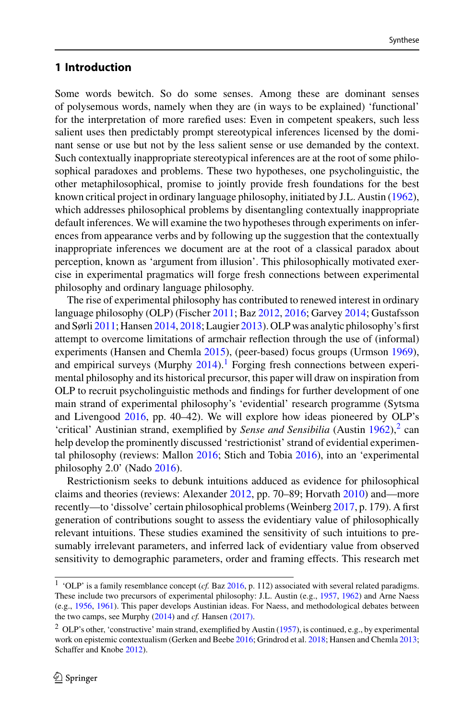# <span id="page-1-2"></span>**1 Introduction**

Some words bewitch. So do some senses. Among these are dominant senses of polysemous words, namely when they are (in ways to be explained) 'functional' for the interpretation of more rarefied uses: Even in competent speakers, such less salient uses then predictably prompt stereotypical inferences licensed by the dominant sense or use but not by the less salient sense or use demanded by the context. Such contextually inappropriate stereotypical inferences are at the root of some philosophical paradoxes and problems. These two hypotheses, one psycholinguistic, the other metaphilosophical, promise to jointly provide fresh foundations for the best known critical project in ordinary language philosophy, initiated by J.L. Austin [\(1962\)](#page-35-0), which addresses philosophical problems by disentangling contextually inappropriate default inferences. We will examine the two hypotheses through experiments on inferences from appearance verbs and by following up the suggestion that the contextually inappropriate inferences we document are at the root of a classical paradox about perception, known as 'argument from illusion'. This philosophically motivated exercise in experimental pragmatics will forge fresh connections between experimental philosophy and ordinary language philosophy.

The rise of experimental philosophy has contributed to renewed interest in ordinary language philosophy (OLP) (Fischer [2011;](#page-36-0) Baz [2012,](#page-35-1) [2016;](#page-35-2) Garvey [2014;](#page-37-0) Gustafsson and Sørli [2011;](#page-37-1) Hansen [2014,](#page-37-2) [2018;](#page-38-0) Laugier [2013\)](#page-38-1). OLP was analytic philosophy's first attempt to overcome limitations of armchair reflection through the use of (informal) experiments (Hansen and Chemla [2015\)](#page-38-2), (peer-based) focus groups (Urmson [1969\)](#page-41-0), and empirical surveys (Murphy  $2014$  $2014$  $2014$ ).<sup>1</sup> Forging fresh connections between experimental philosophy and its historical precursor, this paper will draw on inspiration from OLP to recruit psycholinguistic methods and findings for further development of one main strand of experimental philosophy's 'evidential' research programme (Sytsma and Livengood [2016,](#page-41-1) pp. 40–42). We will explore how ideas pioneered by OLP's 'critical' Austinian strand, exemplified by *Sense and Sensibilia* (Austin  $1962$  $1962$ ),<sup>2</sup> can help develop the prominently discussed 'restrictionist' strand of evidential experimental philosophy (reviews: Mallon [2016;](#page-39-1) Stich and Tobia [2016\)](#page-41-2), into an 'experimental philosophy 2.0' (Nado [2016\)](#page-39-2).

Restrictionism seeks to debunk intuitions adduced as evidence for philosophical claims and theories (reviews: Alexander [2012,](#page-35-3) pp. 70–89; Horvath [2010\)](#page-38-3) and—more recently—to 'dissolve' certain philosophical problems (Weinberg [2017,](#page-41-3) p. 179). A first generation of contributions sought to assess the evidentiary value of philosophically relevant intuitions. These studies examined the sensitivity of such intuitions to presumably irrelevant parameters, and inferred lack of evidentiary value from observed sensitivity to demographic parameters, order and framing effects. This research met

<span id="page-1-0"></span><sup>&</sup>lt;sup>1</sup> 'OLP' is a family resemblance concept (*cf.* Baz [2016,](#page-35-2) p. 112) associated with several related paradigms. These include two precursors of experimental philosophy: J.L. Austin (e.g., [1957,](#page-35-4) [1962\)](#page-35-0) and Arne Naess (e.g., [1956,](#page-39-3) [1961\)](#page-39-4). This paper develops Austinian ideas. For Naess, and methodological debates between the two camps, see Murphy [\(2014\)](#page-39-2) and *cf.* Hansen [\(2017\).](#page-38-2)

<span id="page-1-1"></span><sup>2</sup> OLP's other, 'constructive' main strand, exemplified by Austin [\(1957\)](#page-35-4), is continued, e.g., by experimental work on epistemic contextualism (Gerken and Beebe [2016;](#page-37-3) Grindrod et al. [2018;](#page-37-4) Hansen and Chemla [2013;](#page-38-4) Schaffer and Knobe [2012\)](#page-40-0).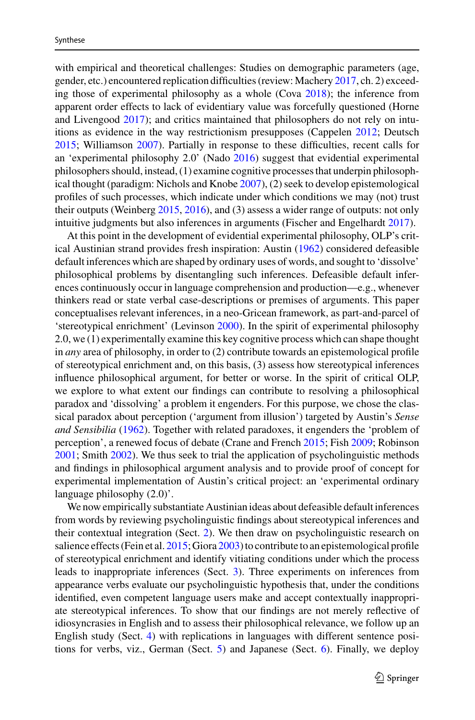with empirical and theoretical challenges: Studies on demographic parameters (age, gender, etc.) encountered replication difficulties (review: Machery [2017,](#page-39-5) ch. 2) exceeding those of experimental philosophy as a whole (Cova [2018\)](#page-36-1); the inference from apparent order effects to lack of evidentiary value was forcefully questioned (Horne and Livengood [2017\)](#page-38-5); and critics maintained that philosophers do not rely on intuitions as evidence in the way restrictionism presupposes (Cappelen [2012;](#page-36-2) Deutsch [2015;](#page-36-3) Williamson [2007\)](#page-41-4). Partially in response to these difficulties, recent calls for an 'experimental philosophy 2.0' (Nado [2016\)](#page-39-2) suggest that evidential experimental philosophers should, instead, (1) examine cognitive processes that underpin philosophical thought (paradigm: Nichols and Knobe [2007\)](#page-39-6), (2) seek to develop epistemological profiles of such processes, which indicate under which conditions we may (not) trust their outputs (Weinberg [2015,](#page-41-5) [2016\)](#page-41-6), and (3) assess a wider range of outputs: not only intuitive judgments but also inferences in arguments (Fischer and Engelhardt [2017\)](#page-37-5).

At this point in the development of evidential experimental philosophy, OLP's critical Austinian strand provides fresh inspiration: Austin [\(1962\)](#page-35-0) considered defeasible default inferences which are shaped by ordinary uses of words, and sought to 'dissolve' philosophical problems by disentangling such inferences. Defeasible default inferences continuously occur in language comprehension and production—e.g., whenever thinkers read or state verbal case-descriptions or premises of arguments. This paper conceptualises relevant inferences, in a neo-Gricean framework, as part-and-parcel of 'stereotypical enrichment' (Levinson [2000\)](#page-38-6). In the spirit of experimental philosophy 2.0, we (1) experimentally examine this key cognitive process which can shape thought in *any* area of philosophy, in order to (2) contribute towards an epistemological profile of stereotypical enrichment and, on this basis, (3) assess how stereotypical inferences influence philosophical argument, for better or worse. In the spirit of critical OLP, we explore to what extent our findings can contribute to resolving a philosophical paradox and 'dissolving' a problem it engenders. For this purpose, we chose the classical paradox about perception ('argument from illusion') targeted by Austin's *Sense and Sensibilia* [\(1962\)](#page-35-0). Together with related paradoxes, it engenders the 'problem of perception', a renewed focus of debate (Crane and French [2015;](#page-36-4) Fish [2009;](#page-37-6) Robinson [2001;](#page-40-1) Smith [2002\)](#page-40-2). We thus seek to trial the application of psycholinguistic methods and findings in philosophical argument analysis and to provide proof of concept for experimental implementation of Austin's critical project: an 'experimental ordinary language philosophy (2.0)'.

We now empirically substantiate Austinian ideas about defeasible default inferences from words by reviewing psycholinguistic findings about stereotypical inferences and their contextual integration (Sect. [2\)](#page-3-0). We then draw on psycholinguistic research on salience effects (Fein et al. [2015;](#page-36-5) Giora [2003\)](#page-37-7) to contribute to an epistemological profile of stereotypical enrichment and identify vitiating conditions under which the process leads to inappropriate inferences (Sect. [3\)](#page-1-2). Three experiments on inferences from appearance verbs evaluate our psycholinguistic hypothesis that, under the conditions identified, even competent language users make and accept contextually inappropriate stereotypical inferences. To show that our findings are not merely reflective of idiosyncrasies in English and to assess their philosophical relevance, we follow up an English study (Sect. [4\)](#page-3-0) with replications in languages with different sentence positions for verbs, viz., German (Sect. [5\)](#page-18-0) and Japanese (Sect. [6\)](#page-20-0). Finally, we deploy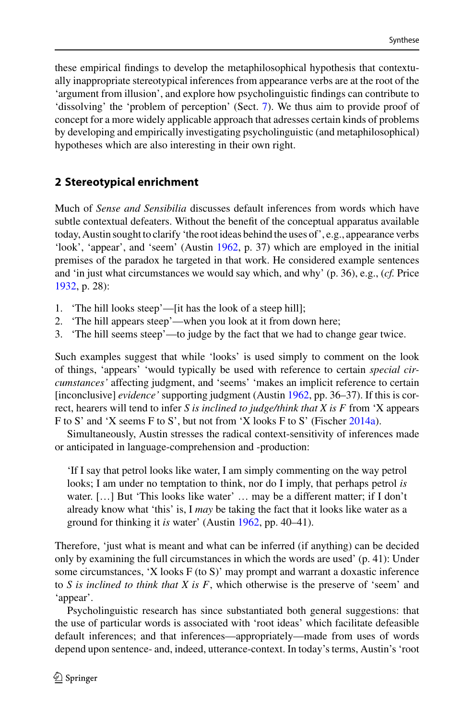these empirical findings to develop the metaphilosophical hypothesis that contextually inappropriate stereotypical inferences from appearance verbs are at the root of the 'argument from illusion', and explore how psycholinguistic findings can contribute to 'dissolving' the 'problem of perception' (Sect. [7\)](#page-22-0). We thus aim to provide proof of concept for a more widely applicable approach that adresses certain kinds of problems by developing and empirically investigating psycholinguistic (and metaphilosophical) hypotheses which are also interesting in their own right.

# <span id="page-3-0"></span>**2 Stereotypical enrichment**

Much of *Sense and Sensibilia* discusses default inferences from words which have subtle contextual defeaters. Without the benefit of the conceptual apparatus available today, Austin sought to clarify 'the root ideas behind the uses of', e.g., appearance verbs 'look', 'appear', and 'seem' (Austin [1962,](#page-35-0) p. 37) which are employed in the initial premises of the paradox he targeted in that work. He considered example sentences and 'in just what circumstances we would say which, and why' (p. 36), e.g., (*cf.* Price [1932,](#page-40-3) p. 28):

- 1. 'The hill looks steep'—[it has the look of a steep hill];
- 2. 'The hill appears steep'—when you look at it from down here;
- 3. 'The hill seems steep'—to judge by the fact that we had to change gear twice.

Such examples suggest that while 'looks' is used simply to comment on the look of things, 'appears' 'would typically be used with reference to certain *special circumstances'* affecting judgment, and 'seems' 'makes an implicit reference to certain [inconclusive] *evidence'* supporting judgment (Austin [1962,](#page-35-0) pp. 36–37). If this is correct, hearers will tend to infer *S is inclined to judge/think that X is F* from 'X appears F to S' and 'X seems F to S', but not from 'X looks F to S' (Fischer [2014a\)](#page-36-6).

Simultaneously, Austin stresses the radical context-sensitivity of inferences made or anticipated in language-comprehension and -production:

'If I say that petrol looks like water, I am simply commenting on the way petrol looks; I am under no temptation to think, nor do I imply, that perhaps petrol *is* water. […] But 'This looks like water' … may be a different matter; if I don't already know what 'this' is, I *may* be taking the fact that it looks like water as a ground for thinking it *is* water' (Austin [1962,](#page-35-0) pp. 40–41).

Therefore, 'just what is meant and what can be inferred (if anything) can be decided only by examining the full circumstances in which the words are used' (p. 41): Under some circumstances, 'X looks F (to S)' may prompt and warrant a doxastic inference to *S is inclined to think that X is F*, which otherwise is the preserve of 'seem' and 'appear'.

Psycholinguistic research has since substantiated both general suggestions: that the use of particular words is associated with 'root ideas' which facilitate defeasible default inferences; and that inferences—appropriately—made from uses of words depend upon sentence- and, indeed, utterance-context. In today's terms, Austin's 'root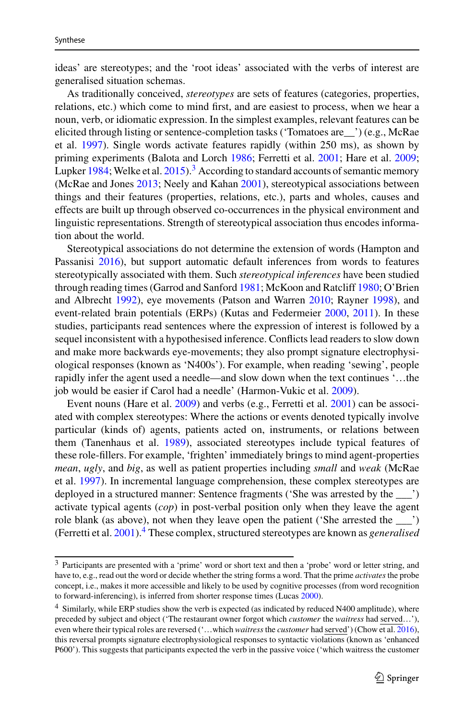ideas' are stereotypes; and the 'root ideas' associated with the verbs of interest are generalised situation schemas.

As traditionally conceived, *stereotypes* are sets of features (categories, properties, relations, etc.) which come to mind first, and are easiest to process, when we hear a noun, verb, or idiomatic expression. In the simplest examples, relevant features can be elicited through listing or sentence-completion tasks ('Tomatoes are\_\_') (e.g., McRae et al. [1997\)](#page-39-7). Single words activate features rapidly (within 250 ms), as shown by priming experiments (Balota and Lorch [1986;](#page-35-5) Ferretti et al. [2001;](#page-36-7) Hare et al. [2009;](#page-38-7) Lupker [1984;](#page-39-8) Welke et al.  $2015$ ).<sup>[3](#page-4-0)</sup> According to standard accounts of semantic memory (McRae and Jones [2013;](#page-39-9) Neely and Kahan [2001\)](#page-39-10), stereotypical associations between things and their features (properties, relations, etc.), parts and wholes, causes and effects are built up through observed co-occurrences in the physical environment and linguistic representations. Strength of stereotypical association thus encodes information about the world.

Stereotypical associations do not determine the extension of words (Hampton and Passanisi [2016\)](#page-37-8), but support automatic default inferences from words to features stereotypically associated with them. Such *stereotypical inferences* have been studied through reading times (Garrod and Sanford [1981;](#page-37-9) McKoon and Ratcliff [1980;](#page-39-11) O'Brien and Albrecht [1992\)](#page-39-12), eye movements (Patson and Warren [2010;](#page-40-4) Rayner [1998\)](#page-40-5), and event-related brain potentials (ERPs) (Kutas and Federmeier [2000,](#page-38-8) [2011\)](#page-38-9). In these studies, participants read sentences where the expression of interest is followed by a sequel inconsistent with a hypothesised inference. Conflicts lead readers to slow down and make more backwards eye-movements; they also prompt signature electrophysiological responses (known as 'N400s'). For example, when reading 'sewing', people rapidly infer the agent used a needle—and slow down when the text continues '…the job would be easier if Carol had a needle' (Harmon-Vukic et al. [2009\)](#page-38-10).

Event nouns (Hare et al. [2009\)](#page-38-7) and verbs (e.g., Ferretti et al. [2001\)](#page-36-7) can be associated with complex stereotypes: Where the actions or events denoted typically involve particular (kinds of) agents, patients acted on, instruments, or relations between them (Tanenhaus et al. [1989\)](#page-41-8), associated stereotypes include typical features of these role-fillers. For example, 'frighten' immediately brings to mind agent-properties *mean*, *ugly*, and *big*, as well as patient properties including *small* and *weak* (McRae et al. [1997\)](#page-39-7). In incremental language comprehension, these complex stereotypes are deployed in a structured manner: Sentence fragments ('She was arrested by the \_\_\_') activate typical agents (*cop*) in post-verbal position only when they leave the agent role blank (as above), not when they leave open the patient ('She arrested the \_\_\_') (Ferretti et al. [2001\)](#page-36-7)[.4](#page-4-1) These complex, structured stereotypes are known as *generalised*

<span id="page-4-0"></span><sup>3</sup> Participants are presented with a 'prime' word or short text and then a 'probe' word or letter string, and have to, e.g., read out the word or decide whether the string forms a word. That the prime *activates* the probe concept, i.e., makes it more accessible and likely to be used by cognitive processes (from word recognition to forward-inferencing), is inferred from shorter response times (Lucas [2000\)](#page-38-11).

<span id="page-4-1"></span><sup>4</sup> Similarly, while ERP studies show the verb is expected (as indicated by reduced N400 amplitude), where preceded by subject and object ('The restaurant owner forgot which *customer* the *waitress* had served…'), even where their typical roles are reversed ('…which *waitress*the *customer* had served') (Chow et al. [2016\)](#page-36-8), this reversal prompts signature electrophysiological responses to syntactic violations (known as 'enhanced P600'). This suggests that participants expected the verb in the passive voice ('which waitress the customer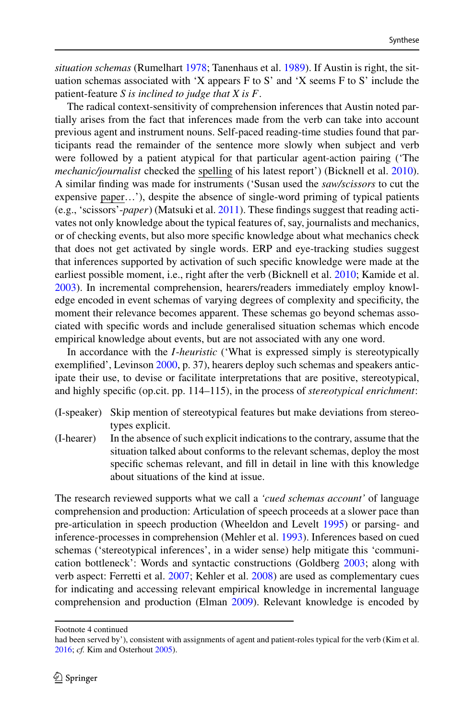*situation schemas* (Rumelhart [1978;](#page-40-6) Tanenhaus et al. [1989\)](#page-41-8). If Austin is right, the situation schemas associated with 'X appears F to S' and 'X seems F to S' include the patient-feature *S is inclined to judge that X is F*.

The radical context-sensitivity of comprehension inferences that Austin noted partially arises from the fact that inferences made from the verb can take into account previous agent and instrument nouns. Self-paced reading-time studies found that participants read the remainder of the sentence more slowly when subject and verb were followed by a patient atypical for that particular agent-action pairing ('The *mechanic/journalist* checked the spelling of his latest report') (Bicknell et al. [2010\)](#page-35-6). A similar finding was made for instruments ('Susan used the *saw/scissors* to cut the expensive paper…'), despite the absence of single-word priming of typical patients (e.g., 'scissors'-*paper*) (Matsuki et al. [2011\)](#page-39-13). These findings suggest that reading activates not only knowledge about the typical features of, say, journalists and mechanics, or of checking events, but also more specific knowledge about what mechanics check that does not get activated by single words. ERP and eye-tracking studies suggest that inferences supported by activation of such specific knowledge were made at the earliest possible moment, i.e., right after the verb (Bicknell et al. [2010;](#page-35-6) Kamide et al. [2003\)](#page-38-12). In incremental comprehension, hearers/readers immediately employ knowledge encoded in event schemas of varying degrees of complexity and specificity, the moment their relevance becomes apparent. These schemas go beyond schemas associated with specific words and include generalised situation schemas which encode empirical knowledge about events, but are not associated with any one word.

In accordance with the *I*-*heuristic* ('What is expressed simply is stereotypically exemplified', Levinson [2000,](#page-38-6) p. 37), hearers deploy such schemas and speakers anticipate their use, to devise or facilitate interpretations that are positive, stereotypical, and highly specific (op.cit. pp. 114–115), in the process of *stereotypical enrichment*:

- (I-speaker) Skip mention of stereotypical features but make deviations from stereotypes explicit.
- (I-hearer) In the absence of such explicit indications to the contrary, assume that the situation talked about conforms to the relevant schemas, deploy the most specific schemas relevant, and fill in detail in line with this knowledge about situations of the kind at issue.

The research reviewed supports what we call a *'cued schemas account'* of language comprehension and production: Articulation of speech proceeds at a slower pace than pre-articulation in speech production (Wheeldon and Levelt [1995\)](#page-41-9) or parsing- and inference-processes in comprehension (Mehler et al. [1993\)](#page-39-14). Inferences based on cued schemas ('stereotypical inferences', in a wider sense) help mitigate this 'communication bottleneck': Words and syntactic constructions (Goldberg [2003;](#page-37-10) along with verb aspect: Ferretti et al. [2007;](#page-36-9) Kehler et al. [2008\)](#page-38-13) are used as complementary cues for indicating and accessing relevant empirical knowledge in incremental language comprehension and production (Elman [2009\)](#page-36-10). Relevant knowledge is encoded by

Footnote 4 continued

had been served by'), consistent with assignments of agent and patient-roles typical for the verb (Kim et al. [2016;](#page-38-14) *cf.* Kim and Osterhout [2005\)](#page-38-15).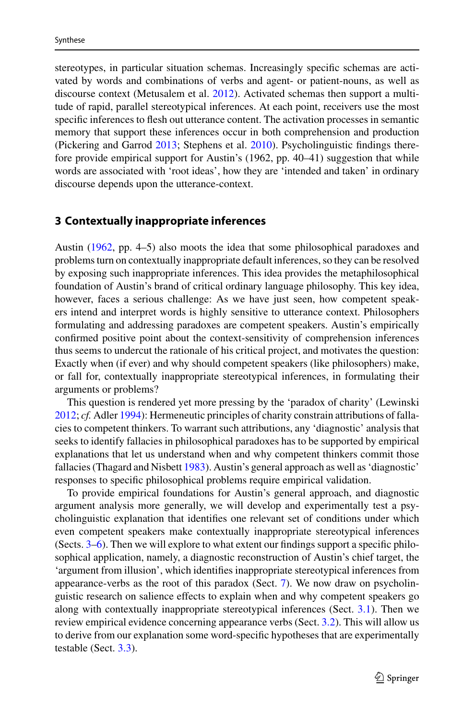stereotypes, in particular situation schemas. Increasingly specific schemas are activated by words and combinations of verbs and agent- or patient-nouns, as well as discourse context (Metusalem et al. [2012\)](#page-39-15). Activated schemas then support a multitude of rapid, parallel stereotypical inferences. At each point, receivers use the most specific inferences to flesh out utterance content. The activation processes in semantic memory that support these inferences occur in both comprehension and production (Pickering and Garrod [2013;](#page-40-7) Stephens et al. [2010\)](#page-41-10). Psycholinguistic findings therefore provide empirical support for Austin's (1962, pp. 40–41) suggestion that while words are associated with 'root ideas', how they are 'intended and taken' in ordinary discourse depends upon the utterance-context.

## <span id="page-6-0"></span>**3 Contextually inappropriate inferences**

Austin [\(1962,](#page-35-0) pp. 4–5) also moots the idea that some philosophical paradoxes and problems turn on contextually inappropriate default inferences, so they can be resolved by exposing such inappropriate inferences. This idea provides the metaphilosophical foundation of Austin's brand of critical ordinary language philosophy. This key idea, however, faces a serious challenge: As we have just seen, how competent speakers intend and interpret words is highly sensitive to utterance context. Philosophers formulating and addressing paradoxes are competent speakers. Austin's empirically confirmed positive point about the context-sensitivity of comprehension inferences thus seems to undercut the rationale of his critical project, and motivates the question: Exactly when (if ever) and why should competent speakers (like philosophers) make, or fall for, contextually inappropriate stereotypical inferences, in formulating their arguments or problems?

This question is rendered yet more pressing by the 'paradox of charity' (Lewinski [2012;](#page-38-16) *cf.* Adler [1994\)](#page-35-7): Hermeneutic principles of charity constrain attributions of fallacies to competent thinkers. To warrant such attributions, any 'diagnostic' analysis that seeks to identify fallacies in philosophical paradoxes has to be supported by empirical explanations that let us understand when and why competent thinkers commit those fallacies (Thagard and Nisbett [1983\)](#page-41-11). Austin's general approach as well as 'diagnostic' responses to specific philosophical problems require empirical validation.

To provide empirical foundations for Austin's general approach, and diagnostic argument analysis more generally, we will develop and experimentally test a psycholinguistic explanation that identifies one relevant set of conditions under which even competent speakers make contextually inappropriate stereotypical inferences (Sects. [3](#page-6-0)[–6\)](#page-20-0). Then we will explore to what extent our findings support a specific philosophical application, namely, a diagnostic reconstruction of Austin's chief target, the 'argument from illusion', which identifies inappropriate stereotypical inferences from appearance-verbs as the root of this paradox (Sect. [7\)](#page-22-0). We now draw on psycholinguistic research on salience effects to explain when and why competent speakers go along with contextually inappropriate stereotypical inferences (Sect. [3.1\)](#page-7-0). Then we review empirical evidence concerning appearance verbs (Sect. [3.2\)](#page-9-0). This will allow us to derive from our explanation some word-specific hypotheses that are experimentally testable (Sect. [3.3\)](#page-10-0).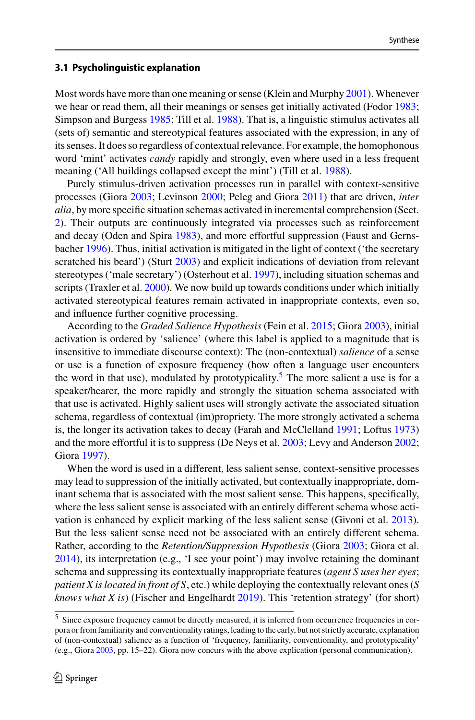#### <span id="page-7-0"></span>**3.1 Psycholinguistic explanation**

Most words have more than one meaning or sense (Klein and Murphy [2001\)](#page-38-17). Whenever we hear or read them, all their meanings or senses get initially activated (Fodor [1983;](#page-37-11) Simpson and Burgess [1985;](#page-40-8) Till et al. [1988\)](#page-41-12). That is, a linguistic stimulus activates all (sets of) semantic and stereotypical features associated with the expression, in any of its senses. It does so regardless of contextual relevance. For example, the homophonous word 'mint' activates *candy* rapidly and strongly, even where used in a less frequent meaning ('All buildings collapsed except the mint') (Till et al. [1988\)](#page-41-12).

Purely stimulus-driven activation processes run in parallel with context-sensitive processes (Giora [2003;](#page-37-7) Levinson [2000;](#page-38-6) Peleg and Giora [2011\)](#page-40-9) that are driven, *inter alia*, by more specific situation schemas activated in incremental comprehension (Sect. [2\)](#page-3-0). Their outputs are continuously integrated via processes such as reinforcement and decay (Oden and Spira [1983\)](#page-40-10), and more effortful suppression (Faust and Gernsbacher [1996\)](#page-36-11). Thus, initial activation is mitigated in the light of context ('the secretary scratched his beard') (Sturt [2003\)](#page-41-13) and explicit indications of deviation from relevant stereotypes ('male secretary') (Osterhout et al. [1997\)](#page-40-11), including situation schemas and scripts (Traxler et al. [2000\)](#page-41-14). We now build up towards conditions under which initially activated stereotypical features remain activated in inappropriate contexts, even so, and influence further cognitive processing.

According to the *Graded Salience Hypothesis* (Fein et al. [2015;](#page-36-5) Giora [2003\)](#page-37-7), initial activation is ordered by 'salience' (where this label is applied to a magnitude that is insensitive to immediate discourse context): The (non-contextual) *salience* of a sense or use is a function of exposure frequency (how often a language user encounters the word in that use), modulated by prototypicality.<sup>[5](#page-7-1)</sup> The more salient a use is for a speaker/hearer, the more rapidly and strongly the situation schema associated with that use is activated. Highly salient uses will strongly activate the associated situation schema, regardless of contextual (im)propriety. The more strongly activated a schema is, the longer its activation takes to decay (Farah and McClelland [1991;](#page-36-12) Loftus [1973\)](#page-38-18) and the more effortful it is to suppress (De Neys et al. [2003;](#page-36-13) Levy and Anderson [2002;](#page-38-19) Giora [1997\)](#page-37-12).

When the word is used in a different, less salient sense, context-sensitive processes may lead to suppression of the initially activated, but contextually inappropriate, dominant schema that is associated with the most salient sense. This happens, specifically, where the less salient sense is associated with an entirely different schema whose activation is enhanced by explicit marking of the less salient sense (Givoni et al. [2013\)](#page-37-13). But the less salient sense need not be associated with an entirely different schema. Rather, according to the *Retention/Suppression Hypothesis* (Giora [2003;](#page-37-7) Giora et al. [2014\)](#page-37-14), its interpretation (e.g., 'I see your point') may involve retaining the dominant schema and suppressing its contextually inappropriate features (*agent S uses her eyes*; *patient X is located in front of S*, etc.) while deploying the contextually relevant ones (*S knows what X is*) (Fischer and Engelhardt [2019\)](#page-37-15). This 'retention strategy' (for short)

<span id="page-7-1"></span><sup>5</sup> Since exposure frequency cannot be directly measured, it is inferred from occurrence frequencies in corpora or from familiarity and conventionality ratings, leading to the early, but not strictly accurate, explanation of (non-contextual) salience as a function of 'frequency, familiarity, conventionality, and prototypicality' (e.g., Giora [2003,](#page-37-16) pp. 15–22). Giora now concurs with the above explication (personal communication).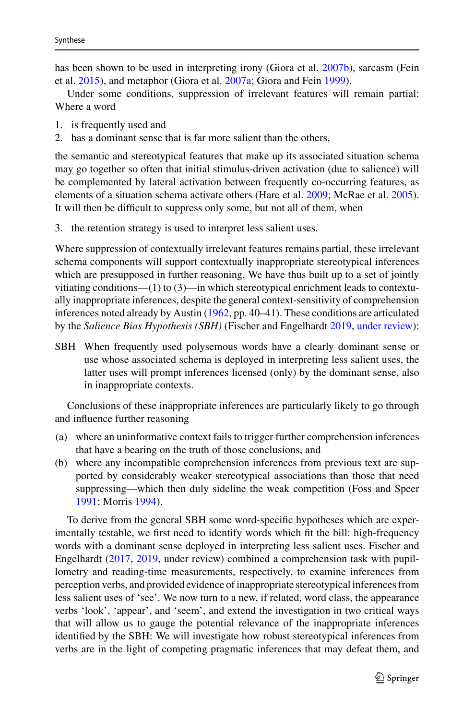has been shown to be used in interpreting irony (Giora et al. [2007b\)](#page-37-17), sarcasm (Fein et al. [2015\)](#page-36-5), and metaphor (Giora et al. [2007a;](#page-37-18) Giora and Fein [1999\)](#page-37-16).

Under some conditions, suppression of irrelevant features will remain partial: Where a word

- 1. is frequently used and
- 2. has a dominant sense that is far more salient than the others,

the semantic and stereotypical features that make up its associated situation schema may go together so often that initial stimulus-driven activation (due to salience) will be complemented by lateral activation between frequently co-occurring features, as elements of a situation schema activate others (Hare et al. [2009;](#page-38-7) McRae et al. [2005\)](#page-39-16). It will then be difficult to suppress only some, but not all of them, when

3. the retention strategy is used to interpret less salient uses.

Where suppression of contextually irrelevant features remains partial, these irrelevant schema components will support contextually inappropriate stereotypical inferences which are presupposed in further reasoning. We have thus built up to a set of jointly vitiating conditions—(1) to (3)—in which stereotypical enrichment leads to contextually inappropriate inferences, despite the general context-sensitivity of comprehension inferences noted already by Austin [\(1962,](#page-35-0) pp. 40–41). These conditions are articulated by the *Salience Bias Hypothesis (SBH)* (Fischer and Engelhardt [2019,](#page-37-15) [under review\)](#page-37-19):

SBH When frequently used polysemous words have a clearly dominant sense or use whose associated schema is deployed in interpreting less salient uses, the latter uses will prompt inferences licensed (only) by the dominant sense, also in inappropriate contexts.

Conclusions of these inappropriate inferences are particularly likely to go through and influence further reasoning

- (a) where an uninformative context fails to trigger further comprehension inferences that have a bearing on the truth of those conclusions, and
- (b) where any incompatible comprehension inferences from previous text are supported by considerably weaker stereotypical associations than those that need suppressing—which then duly sideline the weak competition (Foss and Speer [1991;](#page-37-20) Morris [1994\)](#page-39-17).

To derive from the general SBH some word-specific hypotheses which are experimentally testable, we first need to identify words which fit the bill: high-frequency words with a dominant sense deployed in interpreting less salient uses. Fischer and Engelhardt [\(2017,](#page-37-5) [2019,](#page-37-15) under review) combined a comprehension task with pupillometry and reading-time measurements, respectively, to examine inferences from perception verbs, and provided evidence of inappropriate stereotypical inferences from less salient uses of 'see'. We now turn to a new, if related, word class, the appearance verbs 'look', 'appear', and 'seem', and extend the investigation in two critical ways that will allow us to gauge the potential relevance of the inappropriate inferences identified by the SBH: We will investigate how robust stereotypical inferences from verbs are in the light of competing pragmatic inferences that may defeat them, and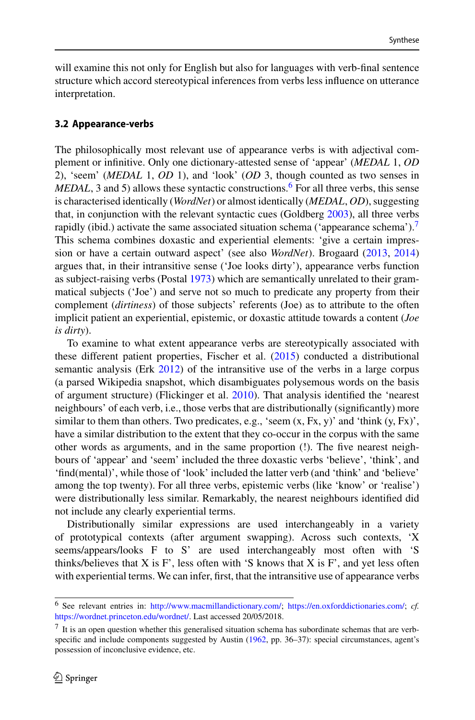will examine this not only for English but also for languages with verb-final sentence structure which accord stereotypical inferences from verbs less influence on utterance interpretation.

#### <span id="page-9-0"></span>**3.2 Appearance-verbs**

The philosophically most relevant use of appearance verbs is with adjectival complement or infinitive. Only one dictionary-attested sense of 'appear' (*MEDAL* 1, *OD* 2), 'seem' (*MEDAL* 1, *OD* 1), and 'look' (*OD* 3, though counted as two senses in *MEDAL*, 3 and 5) allows these syntactic constructions.<sup>6</sup> For all three verbs, this sense is characterised identically (*WordNet*) or almost identically (*MEDAL*, *OD*), suggesting that, in conjunction with the relevant syntactic cues (Goldberg [2003\)](#page-37-10), all three verbs rapidly (ibid.) activate the same associated situation schema ('appearance schema')[.7](#page-9-2) This schema combines doxastic and experiential elements: 'give a certain impression or have a certain outward aspect' (see also *WordNet*). Brogaard [\(2013,](#page-35-8) [2014\)](#page-36-14) argues that, in their intransitive sense ('Joe looks dirty'), appearance verbs function as subject-raising verbs (Postal [1973\)](#page-40-12) which are semantically unrelated to their grammatical subjects ('Joe') and serve not so much to predicate any property from their complement (*dirtiness*) of those subjects' referents (Joe) as to attribute to the often implicit patient an experiential, epistemic, or doxastic attitude towards a content (*Joe is dirty*).

To examine to what extent appearance verbs are stereotypically associated with these different patient properties, Fischer et al. [\(2015\)](#page-37-21) conducted a distributional semantic analysis (Erk [2012\)](#page-36-15) of the intransitive use of the verbs in a large corpus (a parsed Wikipedia snapshot, which disambiguates polysemous words on the basis of argument structure) (Flickinger et al. [2010\)](#page-37-22). That analysis identified the 'nearest neighbours' of each verb, i.e., those verbs that are distributionally (significantly) more similar to them than others. Two predicates, e.g., 'seem  $(x, Fx, y)$ ' and 'think  $(y, Fx)$ ', have a similar distribution to the extent that they co-occur in the corpus with the same other words as arguments, and in the same proportion (!). The five nearest neighbours of 'appear' and 'seem' included the three doxastic verbs 'believe', 'think', and 'find(mental)', while those of 'look' included the latter verb (and 'think' and 'believe' among the top twenty). For all three verbs, epistemic verbs (like 'know' or 'realise') were distributionally less similar. Remarkably, the nearest neighbours identified did not include any clearly experiential terms.

Distributionally similar expressions are used interchangeably in a variety of prototypical contexts (after argument swapping). Across such contexts, 'X seems/appears/looks F to S' are used interchangeably most often with 'S thinks/believes that  $X$  is  $F'$ , less often with 'S knows that  $X$  is  $F'$ , and yet less often with experiential terms. We can infer, first, that the intransitive use of appearance verbs

<span id="page-9-1"></span><sup>6</sup> See relevant entries in: [http://www.macmillandictionary.com/;](http://www.macmillandictionary.com/) [https://en.oxforddictionaries.com/;](https://en.oxforddictionaries.com/) *cf.* [https://wordnet.princeton.edu/wordnet/.](https://wordnet.princeton.edu/wordnet/) Last accessed 20/05/2018.

<span id="page-9-2"></span> $<sup>7</sup>$  It is an open question whether this generalised situation schema has subordinate schemas that are verb-</sup> specific and include components suggested by Austin [\(1962,](#page-35-0) pp. 36–37): special circumstances, agent's possession of inconclusive evidence, etc.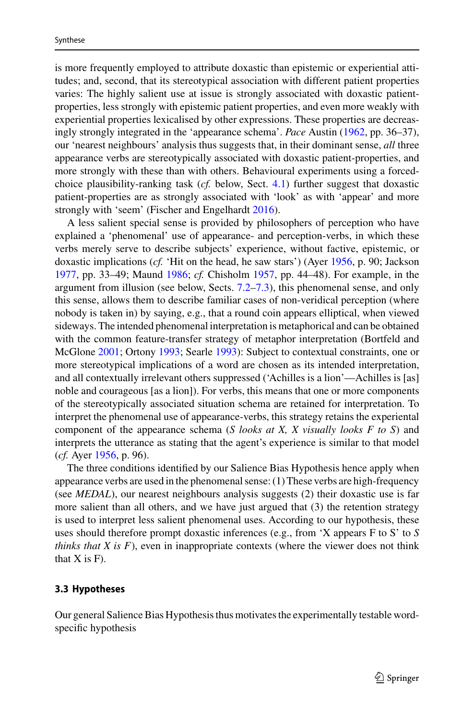is more frequently employed to attribute doxastic than epistemic or experiential attitudes; and, second, that its stereotypical association with different patient properties varies: The highly salient use at issue is strongly associated with doxastic patientproperties, less strongly with epistemic patient properties, and even more weakly with experiential properties lexicalised by other expressions. These properties are decreasingly strongly integrated in the 'appearance schema'. *Pace* Austin [\(1962,](#page-35-0) pp. 36–37), our 'nearest neighbours' analysis thus suggests that, in their dominant sense, *all* three appearance verbs are stereotypically associated with doxastic patient-properties, and more strongly with these than with others. Behavioural experiments using a forcedchoice plausibility-ranking task (*cf.* below, Sect. [4.1\)](#page-13-0) further suggest that doxastic patient-properties are as strongly associated with 'look' as with 'appear' and more strongly with 'seem' (Fischer and Engelhardt [2016\)](#page-36-16).

A less salient special sense is provided by philosophers of perception who have explained a 'phenomenal' use of appearance- and perception-verbs, in which these verbs merely serve to describe subjects' experience, without factive, epistemic, or doxastic implications (*cf.* 'Hit on the head, he saw stars') (Ayer [1956,](#page-35-9) p. 90; Jackson [1977,](#page-38-20) pp. 33–49; Maund [1986;](#page-39-18) *cf.* Chisholm [1957,](#page-36-17) pp. 44–48). For example, in the argument from illusion (see below, Sects. [7.2–](#page-24-0)[7.3\)](#page-28-0), this phenomenal sense, and only this sense, allows them to describe familiar cases of non-veridical perception (where nobody is taken in) by saying, e.g., that a round coin appears elliptical, when viewed sideways. The intended phenomenal interpretation is metaphorical and can be obtained with the common feature-transfer strategy of metaphor interpretation (Bortfeld and McGlone [2001;](#page-35-10) Ortony [1993;](#page-40-13) Searle [1993\)](#page-40-14): Subject to contextual constraints, one or more stereotypical implications of a word are chosen as its intended interpretation, and all contextually irrelevant others suppressed ('Achilles is a lion'—Achilles is [as] noble and courageous [as a lion]). For verbs, this means that one or more components of the stereotypically associated situation schema are retained for interpretation. To interpret the phenomenal use of appearance-verbs, this strategy retains the experiental component of the appearance schema (*S looks at X, X visually looks F to S*) and interprets the utterance as stating that the agent's experience is similar to that model (*cf.* Ayer [1956,](#page-35-9) p. 96).

The three conditions identified by our Salience Bias Hypothesis hence apply when appearance verbs are used in the phenomenal sense: (1) These verbs are high-frequency (see *MEDAL*), our nearest neighbours analysis suggests (2) their doxastic use is far more salient than all others, and we have just argued that (3) the retention strategy is used to interpret less salient phenomenal uses. According to our hypothesis, these uses should therefore prompt doxastic inferences (e.g., from 'X appears F to S' to *S thinks that X is F*), even in inappropriate contexts (where the viewer does not think that  $X$  is  $F$ ).

#### <span id="page-10-0"></span>**3.3 Hypotheses**

Our general Salience Bias Hypothesis thus motivates the experimentally testable wordspecific hypothesis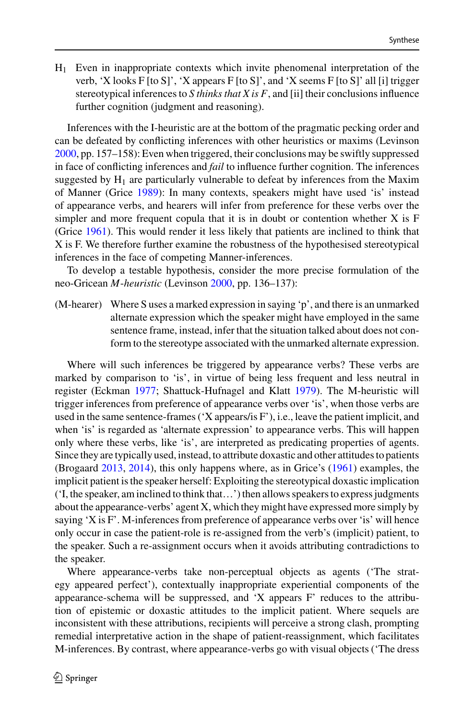H1 Even in inappropriate contexts which invite phenomenal interpretation of the verb, 'X looks F [to S]', 'X appears F [to S]', and 'X seems F [to S]' all [i] trigger stereotypical inferences to *S thinks that X is F*, and [ii] their conclusions influence further cognition (judgment and reasoning).

Inferences with the I-heuristic are at the bottom of the pragmatic pecking order and can be defeated by conflicting inferences with other heuristics or maxims (Levinson [2000,](#page-38-6) pp. 157–158): Even when triggered, their conclusions may be swiftly suppressed in face of conflicting inferences and *fail* to influence further cognition. The inferences suggested by  $H_1$  are particularly vulnerable to defeat by inferences from the Maxim of Manner (Grice [1989\)](#page-37-23): In many contexts, speakers might have used 'is' instead of appearance verbs, and hearers will infer from preference for these verbs over the simpler and more frequent copula that it is in doubt or contention whether X is F (Grice [1961\)](#page-37-24). This would render it less likely that patients are inclined to think that X is F. We therefore further examine the robustness of the hypothesised stereotypical inferences in the face of competing Manner-inferences.

To develop a testable hypothesis, consider the more precise formulation of the neo-Gricean *M*-*heuristic* (Levinson [2000,](#page-38-6) pp. 136–137):

(M-hearer) Where S uses a marked expression in saying 'p', and there is an unmarked alternate expression which the speaker might have employed in the same sentence frame, instead, infer that the situation talked about does not conform to the stereotype associated with the unmarked alternate expression.

Where will such inferences be triggered by appearance verbs? These verbs are marked by comparison to 'is', in virtue of being less frequent and less neutral in register (Eckman [1977;](#page-36-18) Shattuck-Hufnagel and Klatt [1979\)](#page-40-15). The M-heuristic will trigger inferences from preference of appearance verbs over 'is', when those verbs are used in the same sentence-frames ('X appears/is F'), i.e., leave the patient implicit, and when 'is' is regarded as 'alternate expression' to appearance verbs. This will happen only where these verbs, like 'is', are interpreted as predicating properties of agents. Since they are typically used, instead, to attribute doxastic and other attitudes to patients (Brogaard [2013,](#page-35-8) [2014\)](#page-36-14), this only happens where, as in Grice's [\(1961\)](#page-37-24) examples, the implicit patient is the speaker herself: Exploiting the stereotypical doxastic implication ('I, the speaker, am inclined to think that…') then allows speakers to express judgments about the appearance-verbs' agent X, which they might have expressed more simply by saying 'X is F'. M-inferences from preference of appearance verbs over 'is' will hence only occur in case the patient-role is re-assigned from the verb's (implicit) patient, to the speaker. Such a re-assignment occurs when it avoids attributing contradictions to the speaker.

Where appearance-verbs take non-perceptual objects as agents ('The strategy appeared perfect'), contextually inappropriate experiential components of the appearance-schema will be suppressed, and 'X appears F' reduces to the attribution of epistemic or doxastic attitudes to the implicit patient. Where sequels are inconsistent with these attributions, recipients will perceive a strong clash, prompting remedial interpretative action in the shape of patient-reassignment, which facilitates M-inferences. By contrast, where appearance-verbs go with visual objects ('The dress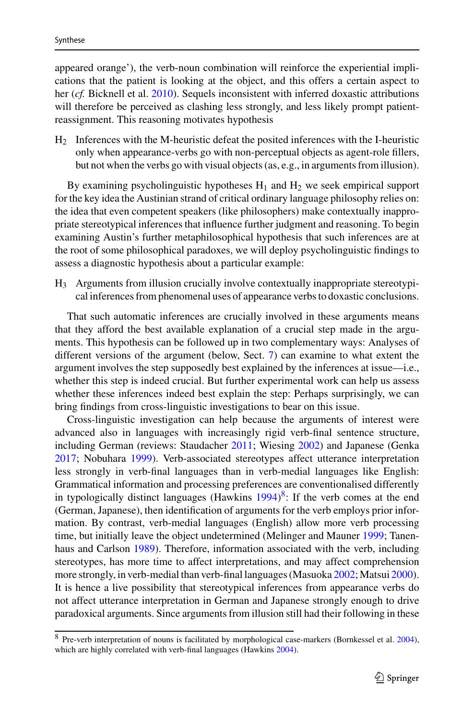appeared orange'), the verb-noun combination will reinforce the experiential implications that the patient is looking at the object, and this offers a certain aspect to her (*cf.* Bicknell et al. [2010\)](#page-35-6). Sequels inconsistent with inferred doxastic attributions will therefore be perceived as clashing less strongly, and less likely prompt patientreassignment. This reasoning motivates hypothesis

H2 Inferences with the M-heuristic defeat the posited inferences with the I-heuristic only when appearance-verbs go with non-perceptual objects as agent-role fillers, but not when the verbs go with visual objects (as, e.g., in arguments from illusion).

By examining psycholinguistic hypotheses  $H_1$  and  $H_2$  we seek empirical support for the key idea the Austinian strand of critical ordinary language philosophy relies on: the idea that even competent speakers (like philosophers) make contextually inappropriate stereotypical inferences that influence further judgment and reasoning. To begin examining Austin's further metaphilosophical hypothesis that such inferences are at the root of some philosophical paradoxes, we will deploy psycholinguistic findings to assess a diagnostic hypothesis about a particular example:

H3 Arguments from illusion crucially involve contextually inappropriate stereotypical inferences from phenomenal uses of appearance verbs to doxastic conclusions.

That such automatic inferences are crucially involved in these arguments means that they afford the best available explanation of a crucial step made in the arguments. This hypothesis can be followed up in two complementary ways: Analyses of different versions of the argument (below, Sect. [7\)](#page-22-0) can examine to what extent the argument involves the step supposedly best explained by the inferences at issue—i.e., whether this step is indeed crucial. But further experimental work can help us assess whether these inferences indeed best explain the step: Perhaps surprisingly, we can bring findings from cross-linguistic investigations to bear on this issue.

Cross-linguistic investigation can help because the arguments of interest were advanced also in languages with increasingly rigid verb-final sentence structure, including German (reviews: Staudacher [2011;](#page-41-15) Wiesing [2002\)](#page-41-16) and Japanese (Genka [2017;](#page-37-25) Nobuhara [1999\)](#page-39-19). Verb-associated stereotypes affect utterance interpretation less strongly in verb-final languages than in verb-medial languages like English: Grammatical information and processing preferences are conventionalised differently in typologically distinct languages (Hawkins  $1994$ )<sup>8</sup>: If the verb comes at the end (German, Japanese), then identification of arguments for the verb employs prior information. By contrast, verb-medial languages (English) allow more verb processing time, but initially leave the object undetermined (Melinger and Mauner [1999;](#page-39-20) Tanenhaus and Carlson [1989\)](#page-41-17). Therefore, information associated with the verb, including stereotypes, has more time to affect interpretations, and may affect comprehension more strongly, in verb-medial than verb-final languages (Masuoka [2002;](#page-39-21) Matsui [2000\)](#page-39-22). It is hence a live possibility that stereotypical inferences from appearance verbs do not affect utterance interpretation in German and Japanese strongly enough to drive paradoxical arguments. Since arguments from illusion still had their following in these

<span id="page-12-0"></span><sup>8</sup> Pre-verb interpretation of nouns is facilitated by morphological case-markers (Bornkessel et al. [2004\)](#page-35-11), which are highly correlated with verb-final languages (Hawkins [2004\)](#page-38-22).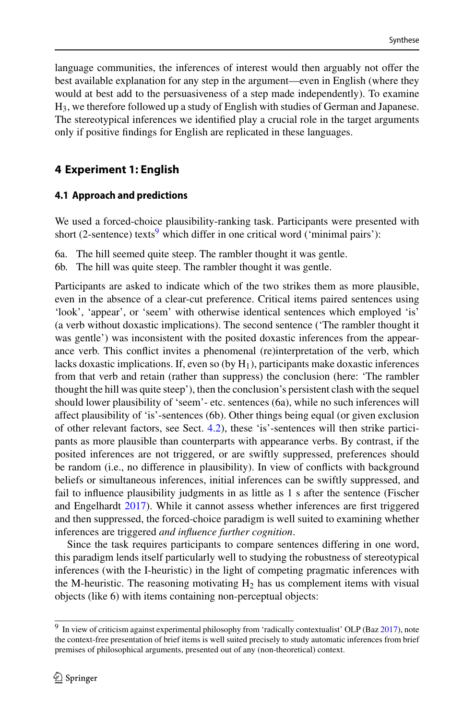language communities, the inferences of interest would then arguably not offer the best available explanation for any step in the argument—even in English (where they would at best add to the persuasiveness of a step made independently). To examine H3, we therefore followed up a study of English with studies of German and Japanese. The stereotypical inferences we identified play a crucial role in the target arguments only if positive findings for English are replicated in these languages.

# **4 Experiment 1: English**

# <span id="page-13-0"></span>**4.1 Approach and predictions**

We used a forced-choice plausibility-ranking task. Participants were presented with short (2-sentence) texts<sup>9</sup> which differ in one critical word ('minimal pairs'):

- 6a. The hill seemed quite steep. The rambler thought it was gentle.
- 6b. The hill was quite steep. The rambler thought it was gentle.

Participants are asked to indicate which of the two strikes them as more plausible, even in the absence of a clear-cut preference. Critical items paired sentences using 'look', 'appear', or 'seem' with otherwise identical sentences which employed 'is' (a verb without doxastic implications). The second sentence ('The rambler thought it was gentle') was inconsistent with the posited doxastic inferences from the appearance verb. This conflict invites a phenomenal (re)interpretation of the verb, which lacks doxastic implications. If, even so (by  $H_1$ ), participants make doxastic inferences from that verb and retain (rather than suppress) the conclusion (here: 'The rambler thought the hill was quite steep'), then the conclusion's persistent clash with the sequel should lower plausibility of 'seem'- etc. sentences (6a), while no such inferences will affect plausibility of 'is'-sentences (6b). Other things being equal (or given exclusion of other relevant factors, see Sect. [4.2\)](#page-14-0), these 'is'-sentences will then strike participants as more plausible than counterparts with appearance verbs. By contrast, if the posited inferences are not triggered, or are swiftly suppressed, preferences should be random (i.e., no difference in plausibility). In view of conflicts with background beliefs or simultaneous inferences, initial inferences can be swiftly suppressed, and fail to influence plausibility judgments in as little as 1 s after the sentence (Fischer and Engelhardt [2017\)](#page-37-5). While it cannot assess whether inferences are first triggered and then suppressed, the forced-choice paradigm is well suited to examining whether inferences are triggered *and influence further cognition*.

Since the task requires participants to compare sentences differing in one word, this paradigm lends itself particularly well to studying the robustness of stereotypical inferences (with the I-heuristic) in the light of competing pragmatic inferences with the M-heuristic. The reasoning motivating  $H_2$  has us complement items with visual objects (like 6) with items containing non-perceptual objects:

<span id="page-13-1"></span><sup>9</sup> In view of criticism against experimental philosophy from 'radically contextualist' OLP (Baz [2017\)](#page-35-12), note the context-free presentation of brief items is well suited precisely to study automatic inferences from brief premises of philosophical arguments, presented out of any (non-theoretical) context.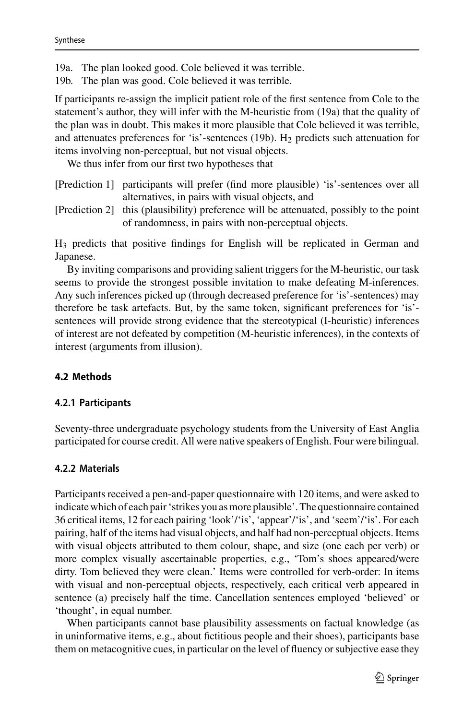- 19a. The plan looked good. Cole believed it was terrible.
- 19b. The plan was good. Cole believed it was terrible.

If participants re-assign the implicit patient role of the first sentence from Cole to the statement's author, they will infer with the M-heuristic from (19a) that the quality of the plan was in doubt. This makes it more plausible that Cole believed it was terrible, and attenuates preferences for 'is'-sentences (19b).  $H_2$  predicts such attenuation for items involving non-perceptual, but not visual objects.

We thus infer from our first two hypotheses that

- [Prediction 1] participants will prefer (find more plausible) 'is'-sentences over all alternatives, in pairs with visual objects, and
- [Prediction 2] this (plausibility) preference will be attenuated, possibly to the point of randomness, in pairs with non-perceptual objects.

H3 predicts that positive findings for English will be replicated in German and Japanese.

By inviting comparisons and providing salient triggers for the M-heuristic, our task seems to provide the strongest possible invitation to make defeating M-inferences. Any such inferences picked up (through decreased preference for 'is'-sentences) may therefore be task artefacts. But, by the same token, significant preferences for 'is' sentences will provide strong evidence that the stereotypical (I-heuristic) inferences of interest are not defeated by competition (M-heuristic inferences), in the contexts of interest (arguments from illusion).

## <span id="page-14-0"></span>**4.2 Methods**

### **4.2.1 Participants**

Seventy-three undergraduate psychology students from the University of East Anglia participated for course credit. All were native speakers of English. Four were bilingual.

### <span id="page-14-1"></span>**4.2.2 Materials**

Participants received a pen-and-paper questionnaire with 120 items, and were asked to indicate which of each pair 'strikes you as more plausible'. The questionnaire contained 36 critical items, 12 for each pairing 'look'/'is', 'appear'/'is', and 'seem'/'is'. For each pairing, half of the items had visual objects, and half had non-perceptual objects. Items with visual objects attributed to them colour, shape, and size (one each per verb) or more complex visually ascertainable properties, e.g., 'Tom's shoes appeared/were dirty. Tom believed they were clean.' Items were controlled for verb-order: In items with visual and non-perceptual objects, respectively, each critical verb appeared in sentence (a) precisely half the time. Cancellation sentences employed 'believed' or 'thought', in equal number.

When participants cannot base plausibility assessments on factual knowledge (as in uninformative items, e.g., about fictitious people and their shoes), participants base them on metacognitive cues, in particular on the level of fluency or subjective ease they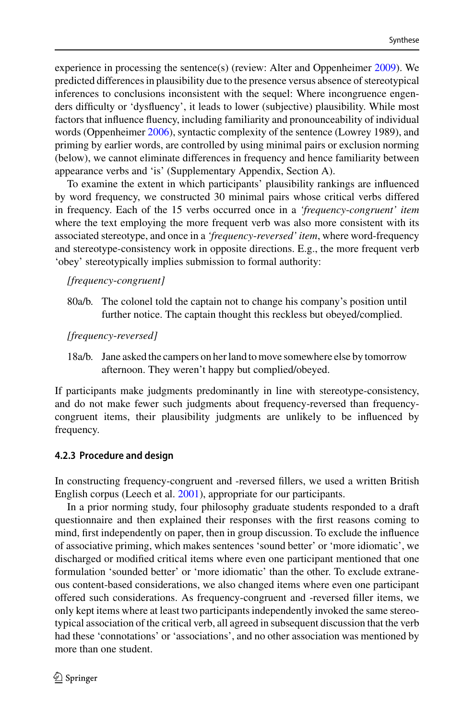experience in processing the sentence(s) (review: Alter and Oppenheimer [2009\)](#page-35-13). We predicted differences in plausibility due to the presence versus absence of stereotypical inferences to conclusions inconsistent with the sequel: Where incongruence engenders difficulty or 'dysfluency', it leads to lower (subjective) plausibility. While most factors that influence fluency, including familiarity and pronounceability of individual words (Oppenheimer [2006\)](#page-40-16), syntactic complexity of the sentence (Lowrey 1989), and priming by earlier words, are controlled by using minimal pairs or exclusion norming (below), we cannot eliminate differences in frequency and hence familiarity between appearance verbs and 'is' (Supplementary Appendix, Section A).

To examine the extent in which participants' plausibility rankings are influenced by word frequency, we constructed 30 minimal pairs whose critical verbs differed in frequency. Each of the 15 verbs occurred once in a *'frequency*-*congruent' item* where the text employing the more frequent verb was also more consistent with its associated stereotype, and once in a *'frequency*-*reversed' item*, where word-frequency and stereotype-consistency work in opposite directions. E.g., the more frequent verb 'obey' stereotypically implies submission to formal authority:

## *[frequency*-*congruent]*

80a/b. The colonel told the captain not to change his company's position until further notice. The captain thought this reckless but obeyed/complied.

### *[frequency*-*reversed]*

18a/b. Jane asked the campers on her land to move somewhere else by tomorrow afternoon. They weren't happy but complied/obeyed.

If participants make judgments predominantly in line with stereotype-consistency, and do not make fewer such judgments about frequency-reversed than frequencycongruent items, their plausibility judgments are unlikely to be influenced by frequency.

## **4.2.3 Procedure and design**

In constructing frequency-congruent and -reversed fillers, we used a written British English corpus (Leech et al. [2001\)](#page-38-23), appropriate for our participants.

In a prior norming study, four philosophy graduate students responded to a draft questionnaire and then explained their responses with the first reasons coming to mind, first independently on paper, then in group discussion. To exclude the influence of associative priming, which makes sentences 'sound better' or 'more idiomatic', we discharged or modified critical items where even one participant mentioned that one formulation 'sounded better' or 'more idiomatic' than the other. To exclude extraneous content-based considerations, we also changed items where even one participant offered such considerations. As frequency-congruent and -reversed filler items, we only kept items where at least two participants independently invoked the same stereotypical association of the critical verb, all agreed in subsequent discussion that the verb had these 'connotations' or 'associations', and no other association was mentioned by more than one student.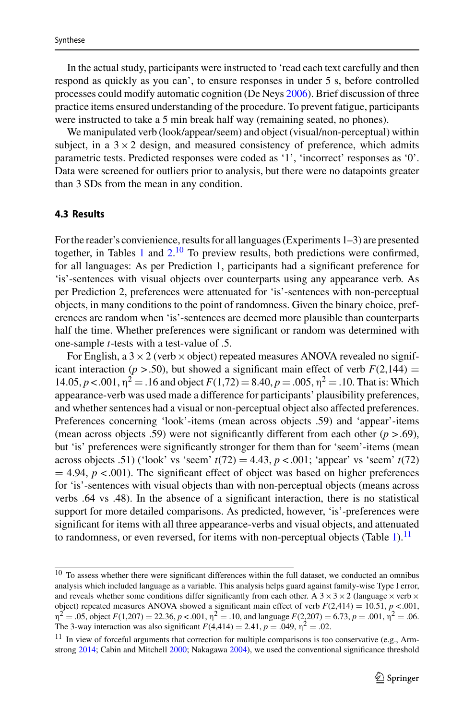In the actual study, participants were instructed to 'read each text carefully and then respond as quickly as you can', to ensure responses in under 5 s, before controlled processes could modify automatic cognition (De Neys [2006\)](#page-36-19). Brief discussion of three practice items ensured understanding of the procedure. To prevent fatigue, participants were instructed to take a 5 min break half way (remaining seated, no phones).

We manipulated verb (look/appear/seem) and object (visual/non-perceptual) within subject, in a  $3 \times 2$  design, and measured consistency of preference, which admits parametric tests. Predicted responses were coded as '1', 'incorrect' responses as '0'. Data were screened for outliers prior to analysis, but there were no datapoints greater than 3 SDs from the mean in any condition.

#### **4.3 Results**

For the reader's convienience, results for all languages (Experiments 1–3) are presented together, in Tables [1](#page-17-0) and  $2<sup>10</sup>$  $2<sup>10</sup>$  $2<sup>10</sup>$  To preview results, both predictions were confirmed, for all languages: As per Prediction 1, participants had a significant preference for 'is'-sentences with visual objects over counterparts using any appearance verb. As per Prediction 2, preferences were attenuated for 'is'-sentences with non-perceptual objects, in many conditions to the point of randomness. Given the binary choice, preferences are random when 'is'-sentences are deemed more plausible than counterparts half the time. Whether preferences were significant or random was determined with one-sample *t*-tests with a test-value of .5.

For English, a  $3 \times 2$  (verb  $\times$  object) repeated measures ANOVA revealed no significant interaction ( $p > .50$ ), but showed a significant main effect of verb  $F(2,144) =$ 14.05, *p* < .001,  $η<sup>2</sup> = .16$  and object  $F(1,72) = 8.40$ ,  $p = .005$ ,  $η<sup>2</sup> = .10$ . That is: Which appearance-verb was used made a difference for participants' plausibility preferences, and whether sentences had a visual or non-perceptual object also affected preferences. Preferences concerning 'look'-items (mean across objects .59) and 'appear'-items (mean across objects .59) were not significantly different from each other  $(p > .69)$ , but 'is' preferences were significantly stronger for them than for 'seem'-items (mean across objects .51) ('look' vs 'seem'  $t(72) = 4.43$ ,  $p < .001$ ; 'appear' vs 'seem'  $t(72)$  $=$  4.94,  $p$  < .001). The significant effect of object was based on higher preferences for 'is'-sentences with visual objects than with non-perceptual objects (means across verbs .64 vs .48). In the absence of a significant interaction, there is no statistical support for more detailed comparisons. As predicted, however, 'is'-preferences were significant for items with all three appearance-verbs and visual objects, and attenuated to randomness, or even reversed, for items with non-perceptual objects (Table [1\)](#page-17-0).<sup>[11](#page-16-1)</sup>

<span id="page-16-0"></span> $10$  To assess whether there were significant differences within the full dataset, we conducted an omnibus analysis which included language as a variable. This analysis helps guard against family-wise Type I error, and reveals whether some conditions differ significantly from each other. A  $3 \times 3 \times 2$  (language  $\times$  verb  $\times$ object) repeated measures ANOVA showed a significant main effect of verb  $F(2,414) = 10.51$ ,  $p < .001$ ,  $n^2 = .05$ , object  $F(1,207) = 22.36$ ,  $p < .001$ ,  $n^2 = .10$ , and language  $F(2,207) = 6.73$ ,  $p = .001$ ,  $n^2 = .06$ . The 3-way interaction was also significant  $F(4,414) = 2.41$ ,  $p = .049$ ,  $\eta^2 = .02$ .

<span id="page-16-1"></span> $11$  In view of forceful arguments that correction for multiple comparisons is too conservative (e.g., Armstrong [2014;](#page-35-14) Cabin and Mitchell [2000;](#page-36-20) Nakagawa [2004\)](#page-39-23), we used the conventional significance threshold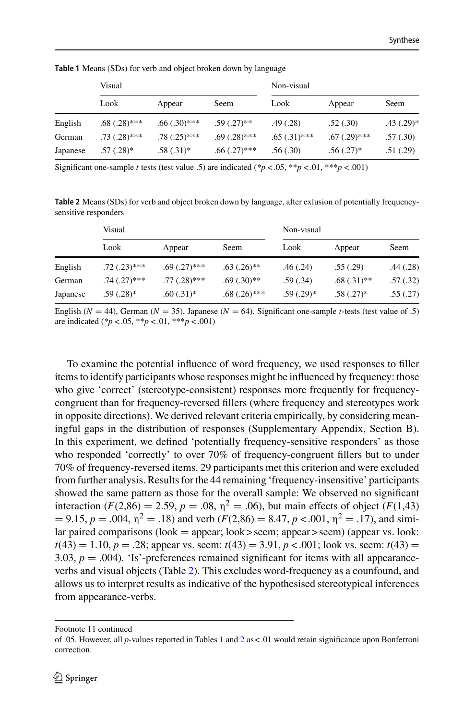<span id="page-17-0"></span>

|          | Visual         |                |                   | Non-visual     |                   |                |
|----------|----------------|----------------|-------------------|----------------|-------------------|----------------|
|          | Look           | Appear         | Seem              | Look           | Appear            | Seem           |
| English  | $.68(.28)$ *** | $.66(.30)$ *** | $.59(.27)$ **     | .49(.28)       | .52(.30)          | $.43$ $(.29)*$ |
| German   | $.73(.28)$ *** | $.78(.25)$ *** | $.69(.28)$ ***    | $.65(.31)$ *** | $.67$ $(.29)$ *** | .57(.30)       |
| Japanese | $.57(.28)$ *   | $.58(.31)$ *   | $.66$ $(.27)$ *** | .56(.30)       | $.56(.27)^*$      | .51(.29)       |

**Table 1** Means (SDs) for verb and object broken down by language

Significant one-sample *t* tests (test value .5) are indicated ( $p < .05$ ,  $\frac{p}{p} < .01$ ,  $\frac{p}{p} < .001$ )

<span id="page-17-1"></span>**Table 2** Means (SDs) for verb and object broken down by language, after exlusion of potentially frequencysensitive responders

|          | Visual            |                |                | Non-visual   |               |          |
|----------|-------------------|----------------|----------------|--------------|---------------|----------|
|          | Look              | Appear         | Seem           | Look         | Appear        | Seem     |
| English  | $.72(.23)$ ***    | $.69(.27)$ *** | $.63(.26)$ **  | .46(.24)     | .55(.29)      | .44(.28) |
| German   | $.74$ $(.27)$ *** | $.77(.28)$ *** | $.69(.30)$ **  | .59(.34)     | $.68(.31)$ ** | .57(.32) |
| Japanese | $.59(.28)*$       | $.60(.31)*$    | $.68(.26)$ *** | $.59(.29)$ * | $.58(.27)$ *  | .55(.27) |

English ( $N = 44$ ), German ( $N = 35$ ), Japanese ( $N = 64$ ). Significant one-sample *t*-tests (test value of .5) are indicated (*\*p* < .05, \*\**p* < .01, \*\*\**p* < .001)

To examine the potential influence of word frequency, we used responses to filler items to identify participants whose responses might be influenced by frequency: those who give 'correct' (stereotype-consistent) responses more frequently for frequencycongruent than for frequency-reversed fillers (where frequency and stereotypes work in opposite directions). We derived relevant criteria empirically, by considering meaningful gaps in the distribution of responses (Supplementary Appendix, Section B). In this experiment, we defined 'potentially frequency-sensitive responders' as those who responded 'correctly' to over 70% of frequency-congruent fillers but to under 70% of frequency-reversed items. 29 participants met this criterion and were excluded from further analysis. Results for the 44 remaining 'frequency-insensitive' participants showed the same pattern as those for the overall sample: We observed no significant interaction ( $F(2,86) = 2.59$ ,  $p = .08$ ,  $\eta^2 = .06$ ), but main effects of object ( $F(1,43)$ )  $= 9.15, p = .004, \eta^2 = .18$ ) and verb ( $F(2,86) = 8.47, p < .001, \eta^2 = .17$ ), and similar paired comparisons (look = appear; look > seem; appear > seem) (appear vs. look:  $t(43) = 1.10, p = .28$ ; appear vs. seem:  $t(43) = 3.91, p < .001$ ; look vs. seem:  $t(43) =$ 3.03,  $p = .004$ ). 'Is'-preferences remained significant for items with all appearanceverbs and visual objects (Table [2\)](#page-17-1). This excludes word-frequency as a counfound, and allows us to interpret results as indicative of the hypothesised stereotypical inferences from appearance-verbs.

Footnote 11 continued

of .05. However, all *p*-values reported in Tables [1](#page-17-0) and [2](#page-17-1) as < .01 would retain significance upon Bonferroni correction.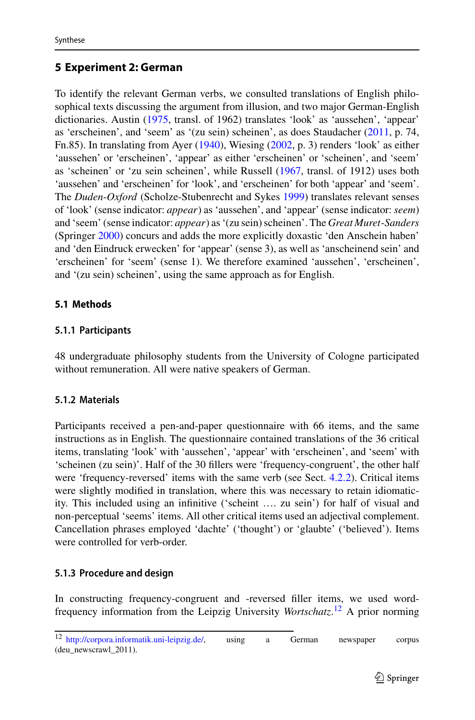# <span id="page-18-0"></span>**5 Experiment 2: German**

To identify the relevant German verbs, we consulted translations of English philosophical texts discussing the argument from illusion, and two major German-English dictionaries. Austin [\(1975,](#page-35-15) transl. of 1962) translates 'look' as 'aussehen', 'appear' as 'erscheinen', and 'seem' as '(zu sein) scheinen', as does Staudacher [\(2011,](#page-41-15) p. 74, Fn.85). In translating from Ayer [\(1940\)](#page-35-16), Wiesing [\(2002,](#page-41-16) p. 3) renders 'look' as either 'aussehen' or 'erscheinen', 'appear' as either 'erscheinen' or 'scheinen', and 'seem' as 'scheinen' or 'zu sein scheinen', while Russell [\(1967,](#page-40-17) transl. of 1912) uses both 'aussehen' and 'erscheinen' for 'look', and 'erscheinen' for both 'appear' and 'seem'. The *Duden*-*Oxford* (Scholze-Stubenrecht and Sykes [1999\)](#page-40-18) translates relevant senses of 'look' (sense indicator: *appear*) as 'aussehen', and 'appear' (sense indicator: *seem*) and 'seem' (sense indicator: *appear*) as '(zu sein) scheinen'. The *Great Muret*-*Sanders* (Springer [2000\)](#page-40-19) concurs and adds the more explicitly doxastic 'den Anschein haben' and 'den Eindruck erwecken' for 'appear' (sense 3), as well as 'anscheinend sein' and 'erscheinen' for 'seem' (sense 1). We therefore examined 'aussehen', 'erscheinen', and '(zu sein) scheinen', using the same approach as for English.

# **5.1 Methods**

# **5.1.1 Participants**

48 undergraduate philosophy students from the University of Cologne participated without remuneration. All were native speakers of German.

# **5.1.2 Materials**

Participants received a pen-and-paper questionnaire with 66 items, and the same instructions as in English. The questionnaire contained translations of the 36 critical items, translating 'look' with 'aussehen', 'appear' with 'erscheinen', and 'seem' with 'scheinen (zu sein)'. Half of the 30 fillers were 'frequency-congruent', the other half were 'frequency-reversed' items with the same verb (see Sect. [4.2.2\)](#page-14-1). Critical items were slightly modified in translation, where this was necessary to retain idiomaticity. This included using an infinitive ('scheint …. zu sein') for half of visual and non-perceptual 'seems' items. All other critical items used an adjectival complement. Cancellation phrases employed 'dachte' ('thought') or 'glaubte' ('believed'). Items were controlled for verb-order.

# **5.1.3 Procedure and design**

In constructing frequency-congruent and -reversed filler items, we used wordfrequency information from the Leipzig University *Wortschatz*. [12](#page-18-1) A prior norming

<span id="page-18-1"></span><sup>12</sup> [http://corpora.informatik.uni-leipzig.de/,](http://corpora.informatik.uni-leipzig.de/) using a German newspaper corpus (deu\_newscrawl\_2011).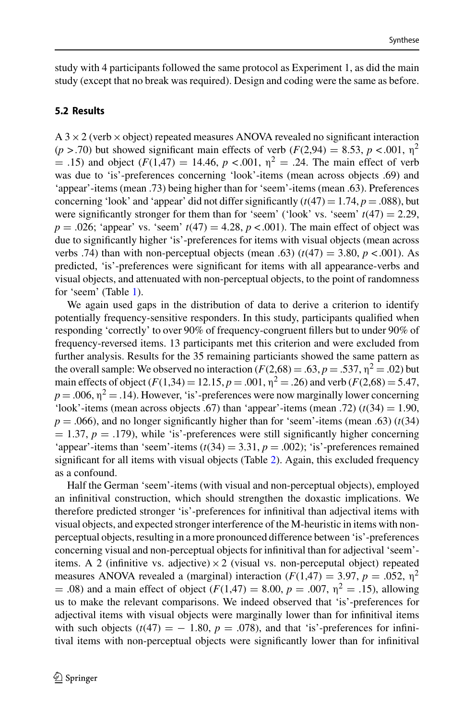study with 4 participants followed the same protocol as Experiment 1, as did the main study (except that no break was required). Design and coding were the same as before.

### **5.2 Results**

 $A$  3  $\times$  2 (verb  $\times$  object) repeated measures ANOVA revealed no significant interaction ( $p > .70$ ) but showed significant main effects of verb ( $F(2,94) = 8.53$ ,  $p < .001$ ,  $p<sup>2</sup>$ ) = .15) and object  $(F(1,47) = 14.46, p < .001, \eta^2 = .24$ . The main effect of verb was due to 'is'-preferences concerning 'look'-items (mean across objects .69) and 'appear'-items (mean .73) being higher than for 'seem'-items (mean .63). Preferences concerning 'look' and 'appear' did not differ significantly  $(t(47) = 1.74, p = .088)$ , but were significantly stronger for them than for 'seem' ('look' vs. 'seem'  $t(47) = 2.29$ ,  $p = .026$ ; 'appear' vs. 'seem'  $t(47) = 4.28$ ,  $p < .001$ ). The main effect of object was due to significantly higher 'is'-preferences for items with visual objects (mean across verbs .74) than with non-perceptual objects (mean .63)  $(t(47) = 3.80, p < .001)$ . As predicted, 'is'-preferences were significant for items with all appearance-verbs and visual objects, and attenuated with non-perceptual objects, to the point of randomness for 'seem' (Table [1\)](#page-17-0).

We again used gaps in the distribution of data to derive a criterion to identify potentially frequency-sensitive responders. In this study, participants qualified when responding 'correctly' to over 90% of frequency-congruent fillers but to under 90% of frequency-reversed items. 13 participants met this criterion and were excluded from further analysis. Results for the 35 remaining particiants showed the same pattern as the overall sample: We observed no interaction  $(F(2,68) = .63, p = .537, \eta^2 = .02)$  but main effects of object  $(F(1,34) = 12.15, p = .001, \eta^2 = .26)$  and verb  $(F(2,68) = 5.47,$  $p = .006$ ,  $\eta^2 = .14$ ). However, 'is'-preferences were now marginally lower concerning 'look'-items (mean across objects .67) than 'appear'-items (mean .72)  $(t(34) = 1.90,$  $p = .066$ ), and no longer significantly higher than for 'seem'-items (mean .63) ( $t(34)$  $= 1.37, p = .179$ ), while 'is'-preferences were still significantly higher concerning 'appear'-items than 'seem'-items  $(t(34) = 3.31, p = .002)$ ; 'is'-preferences remained significant for all items with visual objects (Table [2\)](#page-17-1). Again, this excluded frequency as a confound.

Half the German 'seem'-items (with visual and non-perceptual objects), employed an infinitival construction, which should strengthen the doxastic implications. We therefore predicted stronger 'is'-preferences for infinitival than adjectival items with visual objects, and expected stronger interference of the M-heuristic in items with nonperceptual objects, resulting in a more pronounced difference between 'is'-preferences concerning visual and non-perceptual objects for infinitival than for adjectival 'seem' items. A 2 (infinitive vs. adjective)  $\times$  2 (visual vs. non-perceputal object) repeated measures ANOVA revealed a (marginal) interaction  $(F(1,47) = 3.97, p = .052, \eta^2)$ = .08) and a main effect of object  $(F(1,47) = 8.00, p = .007, \eta^2 = .15)$ , allowing us to make the relevant comparisons. We indeed observed that 'is'-preferences for adjectival items with visual objects were marginally lower than for infinitival items with such objects  $(t(47) = -1.80, p = .078)$ , and that 'is'-preferences for infinitival items with non-perceptual objects were significantly lower than for infinitival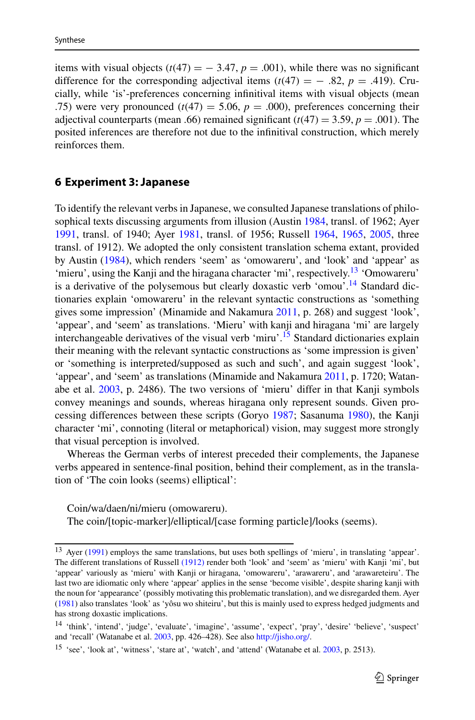items with visual objects  $(t(47) = -3.47, p = .001)$ , while there was no significant difference for the corresponding adjectival items  $(t(47) = -0.82, p = 0.419)$ . Crucially, while 'is'-preferences concerning infinitival items with visual objects (mean .75) were very pronounced  $(t(47) = 5.06, p = .000)$ , preferences concerning their adjectival counterparts (mean .66) remained significant  $(t(47) = 3.59, p = .001)$ . The posited inferences are therefore not due to the infinitival construction, which merely reinforces them.

### <span id="page-20-0"></span>**6 Experiment 3: Japanese**

To identify the relevant verbs in Japanese, we consulted Japanese translations of philosophical texts discussing arguments from illusion (Austin [1984,](#page-35-17) transl. of 1962; Ayer [1991,](#page-35-18) transl. of 1940; Ayer [1981,](#page-35-19) transl. of 1956; Russell [1964,](#page-40-20) [1965,](#page-40-21) [2005,](#page-40-22) three transl. of 1912). We adopted the only consistent translation schema extant, provided by Austin [\(1984\)](#page-35-17), which renders 'seem' as 'omowareru', and 'look' and 'appear' as 'mieru', using the Kanji and the hiragana character 'mi', respectively.<sup>13</sup> 'Omowareru' is a derivative of the polysemous but clearly doxastic verb 'omou'.<sup>14</sup> Standard dictionaries explain 'omowareru' in the relevant syntactic constructions as 'something gives some impression' (Minamide and Nakamura [2011,](#page-39-24) p. 268) and suggest 'look', 'appear', and 'seem' as translations. 'Mieru' with kanji and hiragana 'mi' are largely interchangeable derivatives of the visual verb 'miru'.<sup>15</sup> Standard dictionaries explain their meaning with the relevant syntactic constructions as 'some impression is given' or 'something is interpreted/supposed as such and such', and again suggest 'look', 'appear', and 'seem' as translations (Minamide and Nakamura [2011,](#page-39-24) p. 1720; Watanabe et al. [2003,](#page-41-18) p. 2486). The two versions of 'mieru' differ in that Kanji symbols convey meanings and sounds, whereas hiragana only represent sounds. Given processing differences between these scripts (Goryo [1987;](#page-37-26) Sasanuma [1980\)](#page-40-23), the Kanji character 'mi', connoting (literal or metaphorical) vision, may suggest more strongly that visual perception is involved.

Whereas the German verbs of interest preceded their complements, the Japanese verbs appeared in sentence-final position, behind their complement, as in the translation of 'The coin looks (seems) elliptical':

Coin/wa/daen/ni/mieru (omowareru). The coin/[topic-marker]/elliptical/[case forming particle]/looks (seems).

<span id="page-20-1"></span><sup>13</sup> Ayer [\(1991\)](#page-35-18) employs the same translations, but uses both spellings of 'mieru', in translating 'appear'. The different translations of Russell [\(1912\)](#page-40-20) render both 'look' and 'seem' as 'mieru' with Kanji 'mi', but 'appear' variously as 'mieru' with Kanji or hiragana, 'omowareru', 'arawareru', and 'arawareteiru'. The last two are idiomatic only where 'appear' applies in the sense 'become visible', despite sharing kanji with the noun for 'appearance' (possibly motivating this problematic translation), and we disregarded them. Ayer [\(1981\)](#page-35-19) also translates 'look' as 'yôsu wo shiteiru', but this is mainly used to express hedged judgments and has strong doxastic implications.

<span id="page-20-2"></span><sup>14</sup> 'think', 'intend', 'judge', 'evaluate', 'imagine', 'assume', 'expect', 'pray', 'desire' 'believe', 'suspect' and 'recall' (Watanabe et al. [2003,](#page-41-5) pp. 426–428). See also [http://jisho.org/.](http://jisho.org/)

<span id="page-20-3"></span><sup>&</sup>lt;sup>15</sup> 'see', 'look at', 'witness', 'stare at', 'watch', and 'attend' (Watanabe et al. [2003,](#page-41-5) p. 2513).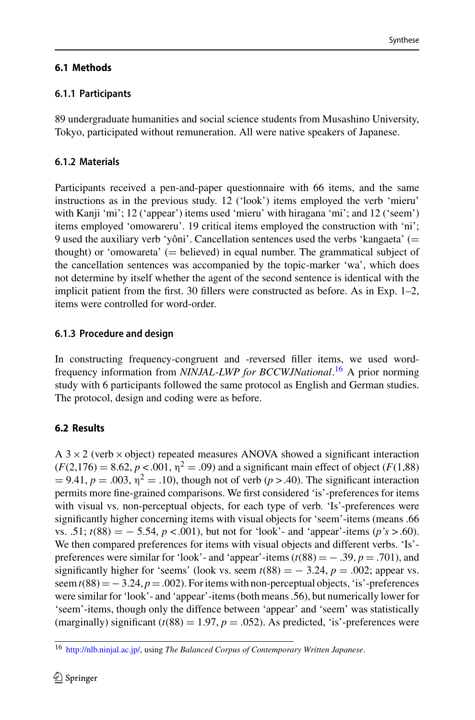Synthese

89 undergraduate humanities and social science students from Musashino University, Tokyo, participated without remuneration. All were native speakers of Japanese.

# **6.1.2 Materials**

Participants received a pen-and-paper questionnaire with 66 items, and the same instructions as in the previous study. 12 ('look') items employed the verb 'mieru' with Kanji 'mi'; 12 ('appear') items used 'mieru' with hiragana 'mi'; and 12 ('seem') items employed 'omowareru'. 19 critical items employed the construction with 'ni'; 9 used the auxiliary verb 'yôni'. Cancellation sentences used the verbs 'kangaeta' (= thought) or 'omowareta'  $(=$  believed) in equal number. The grammatical subject of the cancellation sentences was accompanied by the topic-marker 'wa', which does not determine by itself whether the agent of the second sentence is identical with the implicit patient from the first. 30 fillers were constructed as before. As in Exp. 1–2, items were controlled for word-order.

# **6.1.3 Procedure and design**

In constructing frequency-congruent and -reversed filler items, we used wordfrequency information from *NINJAL*-*LWP for BCCWJNational*. [16](#page-21-0) A prior norming study with 6 participants followed the same protocol as English and German studies. The protocol, design and coding were as before.

# **6.2 Results**

A  $3 \times 2$  (verb  $\times$  object) repeated measures ANOVA showed a significant interaction  $(F(2, 176) = 8.62, p < 0.001, \eta^2 = .09)$  and a significant main effect of object (*F*(1,88)  $= 9.41, p = .003, \eta^2 = .10$ , though not of verb ( $p > .40$ ). The significant interaction permits more fine-grained comparisons. We first considered 'is'-preferences for items with visual vs. non-perceptual objects, for each type of verb. 'Is'-preferences were significantly higher concerning items with visual objects for 'seem'-items (means .66 vs. .51;  $t(88) = -5.54$ ,  $p < .001$ ), but not for 'look'- and 'appear'-items ( $p's > .60$ ). We then compared preferences for items with visual objects and different verbs. 'Is' preferences were similar for 'look'- and 'appear'-items  $(t(88) = -0.39, p = 0.701)$ , and significantly higher for 'seems' (look vs. seem  $t(88) = -3.24$ ,  $p = .002$ ; appear vs. seem  $t(88) = -3.24$ ,  $p = .002$ ). For items with non-perceptual objects, 'is'-preferences were similar for 'look'- and 'appear'-items (both means .56), but numerically lower for 'seem'-items, though only the diffence between 'appear' and 'seem' was statistically (marginally) significant  $(t(88) = 1.97, p = .052)$ . As predicted, 'is'-preferences were

<span id="page-21-0"></span><sup>16</sup> [http://nlb.ninjal.ac.jp/,](http://nlb.ninjal.ac.jp/) using *The Balanced Corpus of Contemporary Written Japanese*.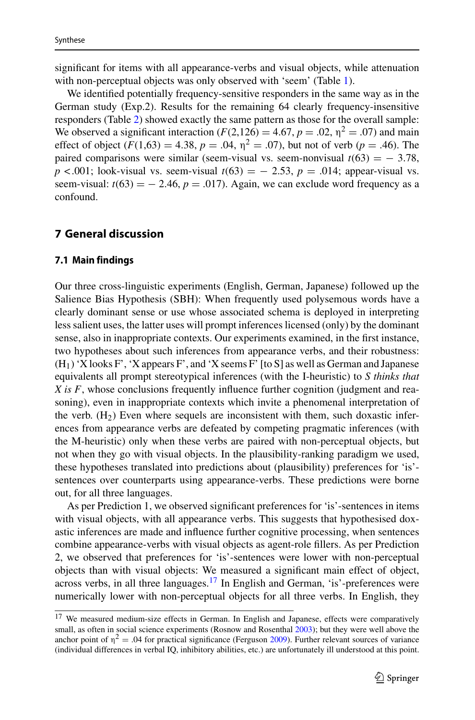significant for items with all appearance-verbs and visual objects, while attenuation with non-perceptual objects was only observed with 'seem' (Table [1\)](#page-17-0).

We identified potentially frequency-sensitive responders in the same way as in the German study (Exp.2). Results for the remaining 64 clearly frequency-insensitive responders (Table [2\)](#page-17-1) showed exactly the same pattern as those for the overall sample: We observed a significant interaction  $(F(2,126) = 4.67, p = .02, \eta^2 = .07)$  and main effect of object  $(F(1,63) = 4.38, p = .04, \eta^2 = .07)$ , but not of verb  $(p = .46)$ . The paired comparisons were similar (seem-visual vs. seem-nonvisual  $t(63) = -3.78$ , *p* < .001; look-visual vs. seem-visual  $t(63) = -2.53$ ,  $p = .014$ ; appear-visual vs. seem-visual:  $t(63) = -2.46$ ,  $p = .017$ ). Again, we can exclude word frequency as a confound.

## <span id="page-22-2"></span><span id="page-22-0"></span>**7 General discussion**

#### **7.1 Main findings**

Our three cross-linguistic experiments (English, German, Japanese) followed up the Salience Bias Hypothesis (SBH): When frequently used polysemous words have a clearly dominant sense or use whose associated schema is deployed in interpreting less salient uses, the latter uses will prompt inferences licensed (only) by the dominant sense, also in inappropriate contexts. Our experiments examined, in the first instance, two hypotheses about such inferences from appearance verbs, and their robustness:  $(H<sub>1</sub>)$  'X looks F', 'X appears F', and 'X seems F' [to S] as well as German and Japanese equivalents all prompt stereotypical inferences (with the I-heuristic) to *S thinks that X is F*, whose conclusions frequently influence further cognition (judgment and reasoning), even in inappropriate contexts which invite a phenomenal interpretation of the verb.  $(H_2)$  Even where sequels are inconsistent with them, such doxastic inferences from appearance verbs are defeated by competing pragmatic inferences (with the M-heuristic) only when these verbs are paired with non-perceptual objects, but not when they go with visual objects. In the plausibility-ranking paradigm we used, these hypotheses translated into predictions about (plausibility) preferences for 'is' sentences over counterparts using appearance-verbs. These predictions were borne out, for all three languages.

As per Prediction 1, we observed significant preferences for 'is'-sentences in items with visual objects, with all appearance verbs. This suggests that hypothesised doxastic inferences are made and influence further cognitive processing, when sentences combine appearance-verbs with visual objects as agent-role fillers. As per Prediction 2, we observed that preferences for 'is'-sentences were lower with non-perceptual objects than with visual objects: We measured a significant main effect of object, across verbs, in all three languages[.17](#page-22-1) In English and German, 'is'-preferences were numerically lower with non-perceptual objects for all three verbs. In English, they

<span id="page-22-1"></span><sup>&</sup>lt;sup>17</sup> We measured medium-size effects in German. In English and Japanese, effects were comparatively small, as often in social science experiments (Rosnow and Rosenthal [2003\)](#page-40-24); but they were well above the anchor point of  $\eta^2 = .04$  for practical significance (Ferguson [2009\)](#page-36-21). Further relevant sources of variance (individual differences in verbal IQ, inhibitory abilities, etc.) are unfortunately ill understood at this point.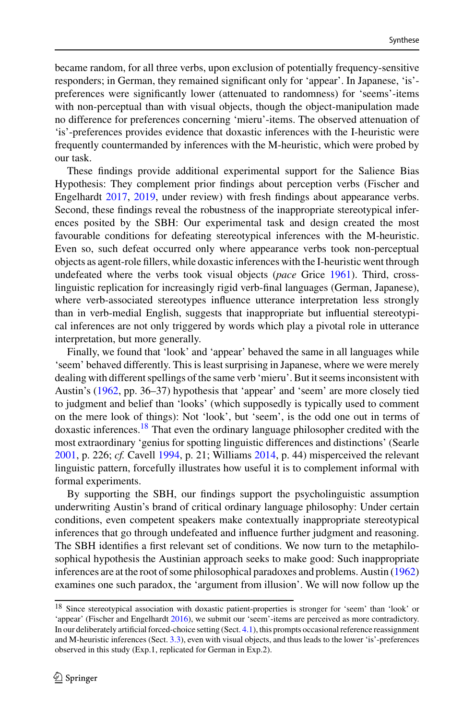became random, for all three verbs, upon exclusion of potentially frequency-sensitive responders; in German, they remained significant only for 'appear'. In Japanese, 'is' preferences were significantly lower (attenuated to randomness) for 'seems'-items with non-perceptual than with visual objects, though the object-manipulation made no difference for preferences concerning 'mieru'-items. The observed attenuation of 'is'-preferences provides evidence that doxastic inferences with the I-heuristic were frequently countermanded by inferences with the M-heuristic, which were probed by our task.

These findings provide additional experimental support for the Salience Bias Hypothesis: They complement prior findings about perception verbs (Fischer and Engelhardt [2017,](#page-37-5) [2019,](#page-37-15) under review) with fresh findings about appearance verbs. Second, these findings reveal the robustness of the inappropriate stereotypical inferences posited by the SBH: Our experimental task and design created the most favourable conditions for defeating stereotypical inferences with the M-heuristic. Even so, such defeat occurred only where appearance verbs took non-perceptual objects as agent-role fillers, while doxastic inferences with the I-heuristic went through undefeated where the verbs took visual objects (*pace* Grice [1961\)](#page-37-24). Third, crosslinguistic replication for increasingly rigid verb-final languages (German, Japanese), where verb-associated stereotypes influence utterance interpretation less strongly than in verb-medial English, suggests that inappropriate but influential stereotypical inferences are not only triggered by words which play a pivotal role in utterance interpretation, but more generally.

Finally, we found that 'look' and 'appear' behaved the same in all languages while 'seem' behaved differently. This is least surprising in Japanese, where we were merely dealing with different spellings of the same verb 'mieru'. But it seems inconsistent with Austin's [\(1962,](#page-35-0) pp. 36–37) hypothesis that 'appear' and 'seem' are more closely tied to judgment and belief than 'looks' (which supposedly is typically used to comment on the mere look of things): Not 'look', but 'seem', is the odd one out in terms of doxastic inferences[.18](#page-23-0) That even the ordinary language philosopher credited with the most extraordinary 'genius for spotting linguistic differences and distinctions' (Searle [2001,](#page-40-25) p. 226; *cf.* Cavell [1994,](#page-36-22) p. 21; Williams [2014,](#page-41-19) p. 44) misperceived the relevant linguistic pattern, forcefully illustrates how useful it is to complement informal with formal experiments.

By supporting the SBH, our findings support the psycholinguistic assumption underwriting Austin's brand of critical ordinary language philosophy: Under certain conditions, even competent speakers make contextually inappropriate stereotypical inferences that go through undefeated and influence further judgment and reasoning. The SBH identifies a first relevant set of conditions. We now turn to the metaphilosophical hypothesis the Austinian approach seeks to make good: Such inappropriate inferences are at the root of some philosophical paradoxes and problems. Austin [\(1962\)](#page-35-0) examines one such paradox, the 'argument from illusion'. We will now follow up the

<span id="page-23-0"></span><sup>18</sup> Since stereotypical association with doxastic patient-properties is stronger for 'seem' than 'look' or 'appear' (Fischer and Engelhardt [2016\)](#page-36-16), we submit our 'seem'-items are perceived as more contradictory. In our deliberately artificial forced-choice setting (Sect. [4.1\)](#page-13-0), this prompts occasional reference reassignment and M-heuristic inferences (Sect. [3.3\)](#page-10-0), even with visual objects, and thus leads to the lower 'is'-preferences observed in this study (Exp.1, replicated for German in Exp.2).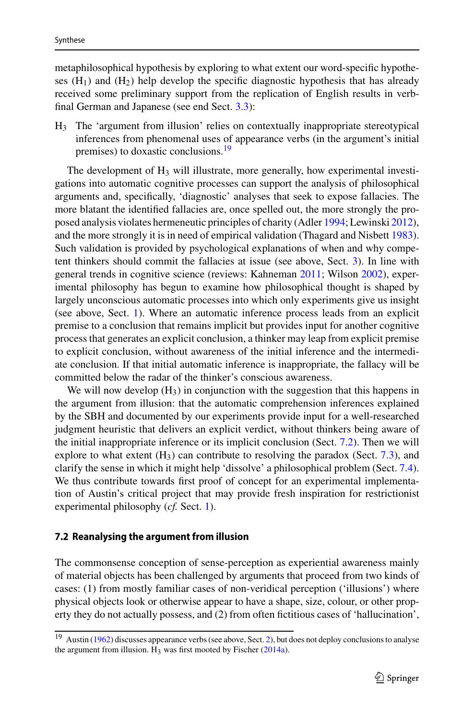metaphilosophical hypothesis by exploring to what extent our word-specific hypotheses  $(H_1)$  and  $(H_2)$  help develop the specific diagnostic hypothesis that has already received some preliminary support from the replication of English results in verbfinal German and Japanese (see end Sect. [3.3\)](#page-10-0):

H3 The 'argument from illusion' relies on contextually inappropriate stereotypical inferences from phenomenal uses of appearance verbs (in the argument's initial premises) to doxastic conclusions.<sup>19</sup>

The development of H<sub>3</sub> will illustrate, more generally, how experimental investigations into automatic cognitive processes can support the analysis of philosophical arguments and, specifically, 'diagnostic' analyses that seek to expose fallacies. The more blatant the identified fallacies are, once spelled out, the more strongly the proposed analysis violates hermeneutic principles of charity (Adler [1994;](#page-35-7) Lewinski [2012\)](#page-38-16), and the more strongly it is in need of empirical validation (Thagard and Nisbett [1983\)](#page-41-11). Such validation is provided by psychological explanations of when and why competent thinkers should commit the fallacies at issue (see above, Sect. [3\)](#page-6-0). In line with general trends in cognitive science (reviews: Kahneman [2011;](#page-38-24) Wilson [2002\)](#page-41-20), experimental philosophy has begun to examine how philosophical thought is shaped by largely unconscious automatic processes into which only experiments give us insight (see above, Sect. [1\)](#page-1-2). Where an automatic inference process leads from an explicit premise to a conclusion that remains implicit but provides input for another cognitive process that generates an explicit conclusion, a thinker may leap from explicit premise to explicit conclusion, without awareness of the initial inference and the intermediate conclusion. If that initial automatic inference is inappropriate, the fallacy will be committed below the radar of the thinker's conscious awareness.

We will now develop  $(H<sub>3</sub>)$  in conjunction with the suggestion that this happens in the argument from illusion: that the automatic comprehension inferences explained by the SBH and documented by our experiments provide input for a well-researched judgment heuristic that delivers an explicit verdict, without thinkers being aware of the initial inappropriate inference or its implicit conclusion (Sect. [7.2\)](#page-24-0). Then we will explore to what extent  $(H_3)$  can contribute to resolving the paradox (Sect. [7.3\)](#page-28-0), and clarify the sense in which it might help 'dissolve' a philosophical problem (Sect. [7.4\)](#page-31-0). We thus contribute towards first proof of concept for an experimental implementation of Austin's critical project that may provide fresh inspiration for restrictionist experimental philosophy (*cf.* Sect. [1\)](#page-1-2).

#### <span id="page-24-0"></span>**7.2 Reanalysing the argument from illusion**

The commonsense conception of sense-perception as experiential awareness mainly of material objects has been challenged by arguments that proceed from two kinds of cases: (1) from mostly familiar cases of non-veridical perception ('illusions') where physical objects look or otherwise appear to have a shape, size, colour, or other property they do not actually possess, and (2) from often fictitious cases of 'hallucination',

<span id="page-24-1"></span><sup>19</sup> Austin [\(1962\)](#page-35-0) discusses appearance verbs (see above, Sect. [2\)](#page-3-0), but does not deploy conclusions to analyse the argument from illusion.  $H_3$  was first mooted by Fischer [\(2014a\)](#page-36-6).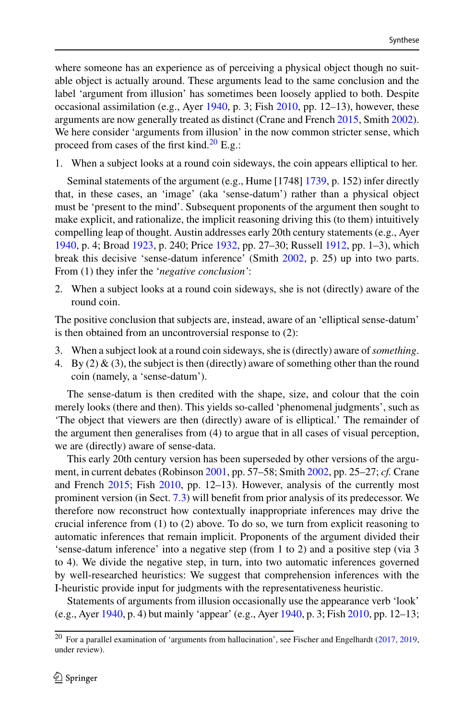where someone has an experience as of perceiving a physical object though no suitable object is actually around. These arguments lead to the same conclusion and the label 'argument from illusion' has sometimes been loosely applied to both. Despite occasional assimilation (e.g., Ayer [1940,](#page-35-16) p. 3; Fish [2010,](#page-37-27) pp. 12–13), however, these arguments are now generally treated as distinct (Crane and French [2015,](#page-36-4) Smith [2002\)](#page-40-2). We here consider 'arguments from illusion' in the now common stricter sense, which proceed from cases of the first kind. $20$  E.g.:

1. When a subject looks at a round coin sideways, the coin appears elliptical to her.

Seminal statements of the argument (e.g., Hume [1748] [1739,](#page-38-25) p. 152) infer directly that, in these cases, an 'image' (aka 'sense-datum') rather than a physical object must be 'present to the mind'. Subsequent proponents of the argument then sought to make explicit, and rationalize, the implicit reasoning driving this (to them) intuitively compelling leap of thought. Austin addresses early 20th century statements (e.g., Ayer [1940,](#page-35-16) p. 4; Broad [1923,](#page-35-20) p. 240; Price [1932,](#page-40-3) pp. 27–30; Russell [1912,](#page-40-26) pp. 1–3), which break this decisive 'sense-datum inference' (Smith [2002,](#page-40-2) p. 25) up into two parts. From (1) they infer the '*negative conclusion'*:

2. When a subject looks at a round coin sideways, she is not (directly) aware of the round coin.

The positive conclusion that subjects are, instead, aware of an 'elliptical sense-datum' is then obtained from an uncontroversial response to (2):

- 3. When a subject look at a round coin sideways, she is (directly) aware of*something*.
- 4. By (2) & (3), the subject is then (directly) aware of something other than the round coin (namely, a 'sense-datum').

The sense-datum is then credited with the shape, size, and colour that the coin merely looks (there and then). This yields so-called 'phenomenal judgments', such as 'The object that viewers are then (directly) aware of is elliptical.' The remainder of the argument then generalises from (4) to argue that in all cases of visual perception, we are (directly) aware of sense-data.

This early 20th century version has been superseded by other versions of the argument, in current debates (Robinson [2001,](#page-40-1) pp. 57–58; Smith [2002,](#page-40-2) pp. 25–27; *cf.* Crane and French [2015;](#page-36-4) Fish [2010,](#page-37-27) pp. 12–13). However, analysis of the currently most prominent version (in Sect. [7.3\)](#page-28-0) will benefit from prior analysis of its predecessor. We therefore now reconstruct how contextually inappropriate inferences may drive the crucial inference from (1) to (2) above. To do so, we turn from explicit reasoning to automatic inferences that remain implicit. Proponents of the argument divided their 'sense-datum inference' into a negative step (from 1 to 2) and a positive step (via 3 to 4). We divide the negative step, in turn, into two automatic inferences governed by well-researched heuristics: We suggest that comprehension inferences with the I-heuristic provide input for judgments with the representativeness heuristic.

Statements of arguments from illusion occasionally use the appearance verb 'look' (e.g., Ayer [1940,](#page-35-16) p. 4) but mainly 'appear' (e.g., Ayer [1940,](#page-35-16) p. 3; Fish [2010,](#page-37-27) pp. 12–13;

<span id="page-25-0"></span><sup>20</sup> For a parallel examination of 'arguments from hallucination', see Fischer and Engelhardt [\(2017,](#page-37-5) [2019,](#page-37-15) under review).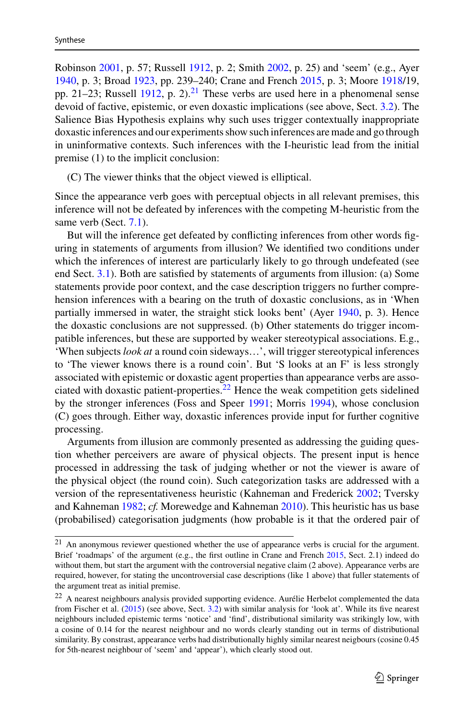Robinson [2001,](#page-40-1) p. 57; Russell [1912,](#page-40-26) p. 2; Smith [2002,](#page-40-2) p. 25) and 'seem' (e.g., Ayer [1940,](#page-35-16) p. 3; Broad [1923,](#page-35-20) pp. 239–240; Crane and French [2015,](#page-36-4) p. 3; Moore [1918/](#page-39-25)19, pp. 21–23; Russell [1912,](#page-40-26) p. 2).<sup>21</sup> These verbs are used here in a phenomenal sense devoid of factive, epistemic, or even doxastic implications (see above, Sect. [3.2\)](#page-9-0). The Salience Bias Hypothesis explains why such uses trigger contextually inappropriate doxastic inferences and our experiments show such inferences are made and go through in uninformative contexts. Such inferences with the I-heuristic lead from the initial premise (1) to the implicit conclusion:

(C) The viewer thinks that the object viewed is elliptical.

Since the appearance verb goes with perceptual objects in all relevant premises, this inference will not be defeated by inferences with the competing M-heuristic from the same verb (Sect. [7.1\)](#page-22-2).

But will the inference get defeated by conflicting inferences from other words figuring in statements of arguments from illusion? We identified two conditions under which the inferences of interest are particularly likely to go through undefeated (see end Sect. [3.1\)](#page-7-0). Both are satisfied by statements of arguments from illusion: (a) Some statements provide poor context, and the case description triggers no further comprehension inferences with a bearing on the truth of doxastic conclusions, as in 'When partially immersed in water, the straight stick looks bent' (Ayer [1940,](#page-35-16) p. 3). Hence the doxastic conclusions are not suppressed. (b) Other statements do trigger incompatible inferences, but these are supported by weaker stereotypical associations. E.g., 'When subjects *look at* a round coin sideways…', will trigger stereotypical inferences to 'The viewer knows there is a round coin'. But 'S looks at an F' is less strongly associated with epistemic or doxastic agent properties than appearance verbs are asso-ciated with doxastic patient-properties.<sup>[22](#page-26-1)</sup> Hence the weak competition gets sidelined by the stronger inferences (Foss and Speer [1991;](#page-37-20) Morris [1994\)](#page-39-17), whose conclusion (C) goes through. Either way, doxastic inferences provide input for further cognitive processing.

Arguments from illusion are commonly presented as addressing the guiding question whether perceivers are aware of physical objects. The present input is hence processed in addressing the task of judging whether or not the viewer is aware of the physical object (the round coin). Such categorization tasks are addressed with a version of the representativeness heuristic (Kahneman and Frederick [2002;](#page-38-26) Tversky and Kahneman [1982;](#page-41-21) *cf.* Morewedge and Kahneman [2010\)](#page-39-26). This heuristic has us base (probabilised) categorisation judgments (how probable is it that the ordered pair of

<span id="page-26-0"></span><sup>21</sup> An anonymous reviewer questioned whether the use of appearance verbs is crucial for the argument. Brief 'roadmaps' of the argument (e.g., the first outline in Crane and French [2015,](#page-36-4) Sect. 2.1) indeed do without them, but start the argument with the controversial negative claim (2 above). Appearance verbs are required, however, for stating the uncontroversial case descriptions (like 1 above) that fuller statements of the argument treat as initial premise.

<span id="page-26-1"></span><sup>&</sup>lt;sup>22</sup> A nearest neighbours analysis provided supporting evidence. Aurélie Herbelot complemented the data from Fischer et al. [\(2015\)](#page-37-21) (see above, Sect. [3.2\)](#page-9-0) with similar analysis for 'look at'. While its five nearest neighbours included epistemic terms 'notice' and 'find', distributional similarity was strikingly low, with a cosine of 0.14 for the nearest neighbour and no words clearly standing out in terms of distributional similarity. By constrast, appearance verbs had distributionally highly similar nearest neigbours (cosine 0.45 for 5th-nearest neighbour of 'seem' and 'appear'), which clearly stood out.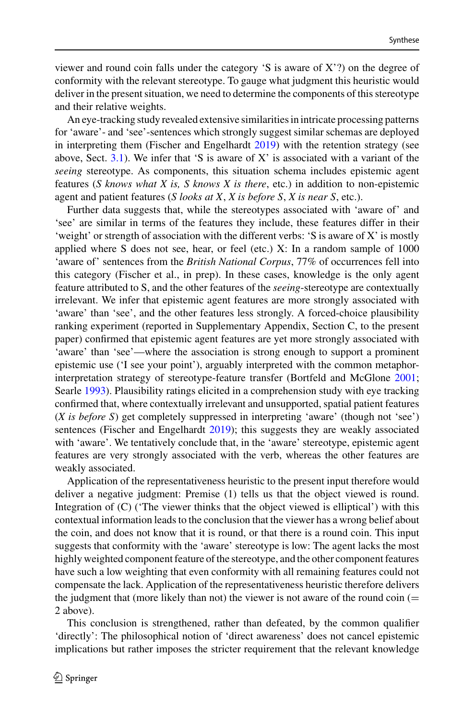viewer and round coin falls under the category 'S is aware of X'?) on the degree of conformity with the relevant stereotype. To gauge what judgment this heuristic would deliver in the present situation, we need to determine the components of this stereotype and their relative weights.

An eye-tracking study revealed extensive similarities in intricate processing patterns for 'aware'- and 'see'-sentences which strongly suggest similar schemas are deployed in interpreting them (Fischer and Engelhardt [2019\)](#page-37-15) with the retention strategy (see above, Sect. [3.1\)](#page-7-0). We infer that 'S is aware of X' is associated with a variant of the *seeing* stereotype. As components, this situation schema includes epistemic agent features (*S knows what X is, S knows X is there*, etc.) in addition to non-epistemic agent and patient features (*S looks at X*, *X is before S*, *X is near S*, etc.).

Further data suggests that, while the stereotypes associated with 'aware of' and 'see' are similar in terms of the features they include, these features differ in their 'weight' or strength of association with the different verbs: 'S is aware of X' is mostly applied where S does not see, hear, or feel (etc.) X: In a random sample of 1000 'aware of' sentences from the *British National Corpus*, 77% of occurrences fell into this category (Fischer et al., in prep). In these cases, knowledge is the only agent feature attributed to S, and the other features of the *seeing*-stereotype are contextually irrelevant. We infer that epistemic agent features are more strongly associated with 'aware' than 'see', and the other features less strongly. A forced-choice plausibility ranking experiment (reported in Supplementary Appendix, Section C, to the present paper) confirmed that epistemic agent features are yet more strongly associated with 'aware' than 'see'—where the association is strong enough to support a prominent epistemic use ('I see your point'), arguably interpreted with the common metaphorinterpretation strategy of stereotype-feature transfer (Bortfeld and McGlone [2001;](#page-35-10) Searle [1993\)](#page-40-14). Plausibility ratings elicited in a comprehension study with eye tracking confirmed that, where contextually irrelevant and unsupported, spatial patient features (*X is before S*) get completely suppressed in interpreting 'aware' (though not 'see') sentences (Fischer and Engelhardt [2019\)](#page-37-15); this suggests they are weakly associated with 'aware'. We tentatively conclude that, in the 'aware' stereotype, epistemic agent features are very strongly associated with the verb, whereas the other features are weakly associated.

Application of the representativeness heuristic to the present input therefore would deliver a negative judgment: Premise (1) tells us that the object viewed is round. Integration of (C) ('The viewer thinks that the object viewed is elliptical') with this contextual information leads to the conclusion that the viewer has a wrong belief about the coin, and does not know that it is round, or that there is a round coin. This input suggests that conformity with the 'aware' stereotype is low: The agent lacks the most highly weighted component feature of the stereotype, and the other component features have such a low weighting that even conformity with all remaining features could not compensate the lack. Application of the representativeness heuristic therefore delivers the judgment that (more likely than not) the viewer is not aware of the round  $\text{coin}$  ( $=$ 2 above).

This conclusion is strengthened, rather than defeated, by the common qualifier 'directly': The philosophical notion of 'direct awareness' does not cancel epistemic implications but rather imposes the stricter requirement that the relevant knowledge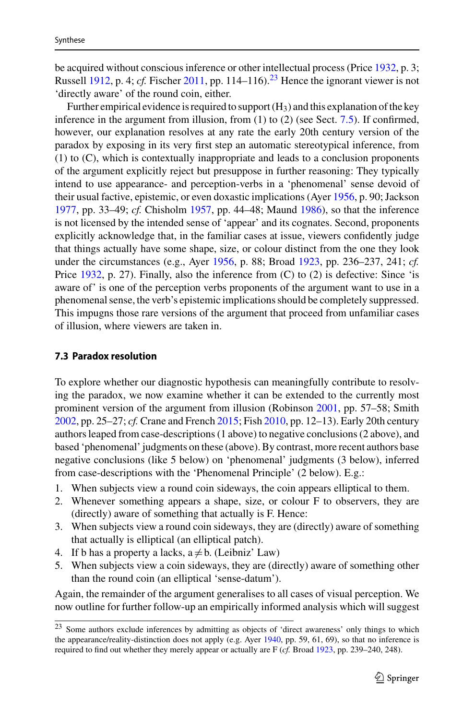be acquired without conscious inference or other intellectual process (Price [1932,](#page-40-3) p. 3; Russell [1912,](#page-40-26) p. 4; *cf.* Fischer [2011,](#page-36-0) pp. 114–116).<sup>[23](#page-28-1)</sup> Hence the ignorant viewer is not 'directly aware' of the round coin, either.

Further empirical evidence is required to support  $(H_3)$  and this explanation of the key inference in the argument from illusion, from (1) to (2) (see Sect. [7.5\)](#page-33-0). If confirmed, however, our explanation resolves at any rate the early 20th century version of the paradox by exposing in its very first step an automatic stereotypical inference, from (1) to (C), which is contextually inappropriate and leads to a conclusion proponents of the argument explicitly reject but presuppose in further reasoning: They typically intend to use appearance- and perception-verbs in a 'phenomenal' sense devoid of their usual factive, epistemic, or even doxastic implications (Ayer [1956,](#page-35-9) p. 90; Jackson [1977,](#page-38-20) pp. 33–49; *cf.* Chisholm [1957,](#page-36-17) pp. 44–48; Maund [1986\)](#page-39-18), so that the inference is not licensed by the intended sense of 'appear' and its cognates. Second, proponents explicitly acknowledge that, in the familiar cases at issue, viewers confidently judge that things actually have some shape, size, or colour distinct from the one they look under the circumstances (e.g., Ayer [1956,](#page-35-9) p. 88; Broad [1923,](#page-35-20) pp. 236–237, 241; *cf.* Price [1932,](#page-40-3) p. 27). Finally, also the inference from (C) to (2) is defective: Since 'is aware of' is one of the perception verbs proponents of the argument want to use in a phenomenal sense, the verb's epistemic implications should be completely suppressed. This impugns those rare versions of the argument that proceed from unfamiliar cases of illusion, where viewers are taken in.

#### <span id="page-28-0"></span>**7.3 Paradox resolution**

To explore whether our diagnostic hypothesis can meaningfully contribute to resolving the paradox, we now examine whether it can be extended to the currently most prominent version of the argument from illusion (Robinson [2001,](#page-40-1) pp. 57–58; Smith [2002,](#page-40-2) pp. 25–27; *cf.* Crane and French [2015;](#page-36-4) Fish [2010,](#page-37-27) pp. 12–13). Early 20th century authors leaped from case-descriptions (1 above) to negative conclusions (2 above), and based 'phenomenal' judgments on these (above). By contrast, more recent authors base negative conclusions (like 5 below) on 'phenomenal' judgments (3 below), inferred from case-descriptions with the 'Phenomenal Principle' (2 below). E.g.:

- 1. When subjects view a round coin sideways, the coin appears elliptical to them.
- 2. Whenever something appears a shape, size, or colour F to observers, they are (directly) aware of something that actually is F. Hence:
- 3. When subjects view a round coin sideways, they are (directly) aware of something that actually is elliptical (an elliptical patch).
- 4. If b has a property a lacks,  $a \neq b$ . (Leibniz' Law)
- 5. When subjects view a coin sideways, they are (directly) aware of something other than the round coin (an elliptical 'sense-datum').

Again, the remainder of the argument generalises to all cases of visual perception. We now outline for further follow-up an empirically informed analysis which will suggest

<span id="page-28-1"></span><sup>23</sup> Some authors exclude inferences by admitting as objects of 'direct awareness' only things to which the appearance/reality-distinction does not apply (e.g. Ayer [1940,](#page-35-16) pp. 59, 61, 69), so that no inference is required to find out whether they merely appear or actually are F (*cf.* Broad [1923,](#page-35-20) pp. 239–240, 248).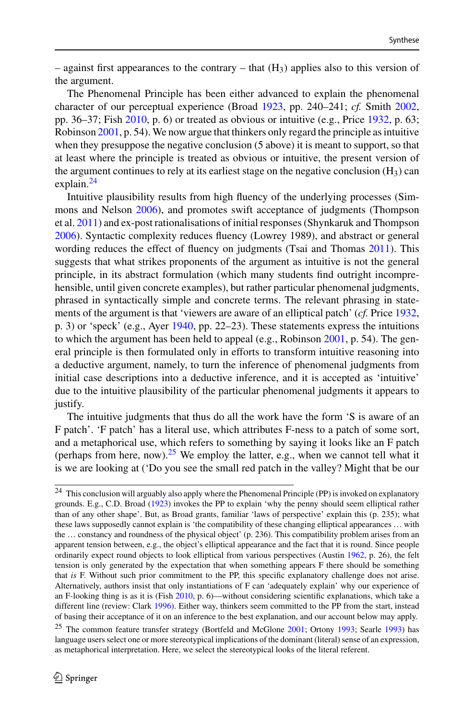– against first appearances to the contrary – that  $(H_3)$  applies also to this version of the argument.

The Phenomenal Principle has been either advanced to explain the phenomenal character of our perceptual experience (Broad [1923,](#page-35-20) pp. 240–241; *cf.* Smith [2002,](#page-40-2) pp. 36–37; Fish [2010,](#page-37-27) p. 6) or treated as obvious or intuitive (e.g., Price [1932,](#page-40-3) p. 63; Robinson [2001,](#page-40-1) p. 54). We now argue that thinkers only regard the principle as intuitive when they presuppose the negative conclusion (5 above) it is meant to support, so that at least where the principle is treated as obvious or intuitive, the present version of the argument continues to rely at its earliest stage on the negative conclusion  $(H_3)$  can explain.<sup>[24](#page-29-0)</sup>

Intuitive plausibility results from high fluency of the underlying processes (Simmons and Nelson [2006\)](#page-40-27), and promotes swift acceptance of judgments (Thompson et al. [2011\)](#page-41-22) and ex-post rationalisations of initial responses (Shynkaruk and Thompson [2006\)](#page-40-28). Syntactic complexity reduces fluency (Lowrey 1989), and abstract or general wording reduces the effect of fluency on judgments (Tsai and Thomas [2011\)](#page-41-23). This suggests that what strikes proponents of the argument as intuitive is not the general principle, in its abstract formulation (which many students find outright incomprehensible, until given concrete examples), but rather particular phenomenal judgments, phrased in syntactically simple and concrete terms. The relevant phrasing in statements of the argument is that 'viewers are aware of an elliptical patch' (*cf.* Price [1932,](#page-40-3) p. 3) or 'speck' (e.g., Ayer [1940,](#page-35-16) pp. 22–23). These statements express the intuitions to which the argument has been held to appeal (e.g., Robinson [2001,](#page-40-1) p. 54). The general principle is then formulated only in efforts to transform intuitive reasoning into a deductive argument, namely, to turn the inference of phenomenal judgments from initial case descriptions into a deductive inference, and it is accepted as 'intuitive' due to the intuitive plausibility of the particular phenomenal judgments it appears to justify.

The intuitive judgments that thus do all the work have the form 'S is aware of an F patch'. 'F patch' has a literal use, which attributes F-ness to a patch of some sort, and a metaphorical use, which refers to something by saying it looks like an F patch (perhaps from here, now).<sup>[25](#page-29-1)</sup> We employ the latter, e.g., when we cannot tell what it is we are looking at ('Do you see the small red patch in the valley? Might that be our

<span id="page-29-0"></span><sup>&</sup>lt;sup>24</sup> This conclusion will arguably also apply where the Phenomenal Principle (PP) is invoked on explanatory grounds. E.g., C.D. Broad [\(1923\)](#page-35-20) invokes the PP to explain 'why the penny should seem elliptical rather than of any other shape'. But, as Broad grants, familiar 'laws of perspective' explain this (p. 235); what these laws supposedly cannot explain is 'the compatibility of these changing elliptical appearances … with the … constancy and roundness of the physical object' (p. 236). This compatibility problem arises from an apparent tension between, e.g., the object's elliptical appearance and the fact that it is round. Since people ordinarily expect round objects to look elliptical from various perspectives (Austin [1962,](#page-35-0) p. 26), the felt tension is only generated by the expectation that when something appears F there should be something that *is* F. Without such prior commitment to the PP, this specific explanatory challenge does not arise. Alternatively, authors insist that only instantiations of F can 'adequately explain' why our experience of an F-looking thing is as it is (Fish [2010,](#page-37-22) p. 6)—without considering scientific explanations, which take a different line (review: Clark [1996\)](#page-36-23). Either way, thinkers seem committed to the PP from the start, instead of basing their acceptance of it on an inference to the best explanation, and our account below may apply.

<span id="page-29-1"></span><sup>&</sup>lt;sup>25</sup> The common feature transfer strategy (Bortfeld and McGlone [2001;](#page-35-10) Ortony [1993;](#page-40-11) Searle [1993\)](#page-40-25) has language users select one or more stereotypical implications of the dominant (literal) sense of an expression, as metaphorical interpretation. Here, we select the stereotypical looks of the literal referent.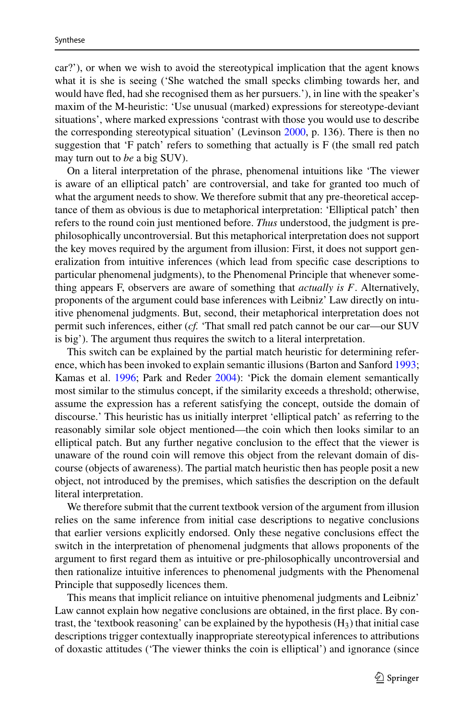car?'), or when we wish to avoid the stereotypical implication that the agent knows what it is she is seeing ('She watched the small specks climbing towards her, and would have fled, had she recognised them as her pursuers.'), in line with the speaker's maxim of the M-heuristic: 'Use unusual (marked) expressions for stereotype-deviant situations', where marked expressions 'contrast with those you would use to describe the corresponding stereotypical situation' (Levinson [2000,](#page-38-6) p. 136). There is then no suggestion that 'F patch' refers to something that actually is  $F$  (the small red patch may turn out to *be* a big SUV).

On a literal interpretation of the phrase, phenomenal intuitions like 'The viewer is aware of an elliptical patch' are controversial, and take for granted too much of what the argument needs to show. We therefore submit that any pre-theoretical acceptance of them as obvious is due to metaphorical interpretation: 'Elliptical patch' then refers to the round coin just mentioned before. *Thus* understood, the judgment is prephilosophically uncontroversial. But this metaphorical interpretation does not support the key moves required by the argument from illusion: First, it does not support generalization from intuitive inferences (which lead from specific case descriptions to particular phenomenal judgments), to the Phenomenal Principle that whenever something appears F, observers are aware of something that *actually is F*. Alternatively, proponents of the argument could base inferences with Leibniz' Law directly on intuitive phenomenal judgments. But, second, their metaphorical interpretation does not permit such inferences, either (*cf.* 'That small red patch cannot be our car—our SUV is big'). The argument thus requires the switch to a literal interpretation.

This switch can be explained by the partial match heuristic for determining reference, which has been invoked to explain semantic illusions (Barton and Sanford [1993;](#page-35-21) Kamas et al. [1996;](#page-38-27) Park and Reder [2004\)](#page-40-29): 'Pick the domain element semantically most similar to the stimulus concept, if the similarity exceeds a threshold; otherwise, assume the expression has a referent satisfying the concept, outside the domain of discourse.' This heuristic has us initially interpret 'elliptical patch' as referring to the reasonably similar sole object mentioned—the coin which then looks similar to an elliptical patch. But any further negative conclusion to the effect that the viewer is unaware of the round coin will remove this object from the relevant domain of discourse (objects of awareness). The partial match heuristic then has people posit a new object, not introduced by the premises, which satisfies the description on the default literal interpretation.

We therefore submit that the current textbook version of the argument from illusion relies on the same inference from initial case descriptions to negative conclusions that earlier versions explicitly endorsed. Only these negative conclusions effect the switch in the interpretation of phenomenal judgments that allows proponents of the argument to first regard them as intuitive or pre-philosophically uncontroversial and then rationalize intuitive inferences to phenomenal judgments with the Phenomenal Principle that supposedly licences them.

This means that implicit reliance on intuitive phenomenal judgments and Leibniz' Law cannot explain how negative conclusions are obtained, in the first place. By contrast, the 'textbook reasoning' can be explained by the hypothesis  $(H_3)$  that initial case descriptions trigger contextually inappropriate stereotypical inferences to attributions of doxastic attitudes ('The viewer thinks the coin is elliptical') and ignorance (since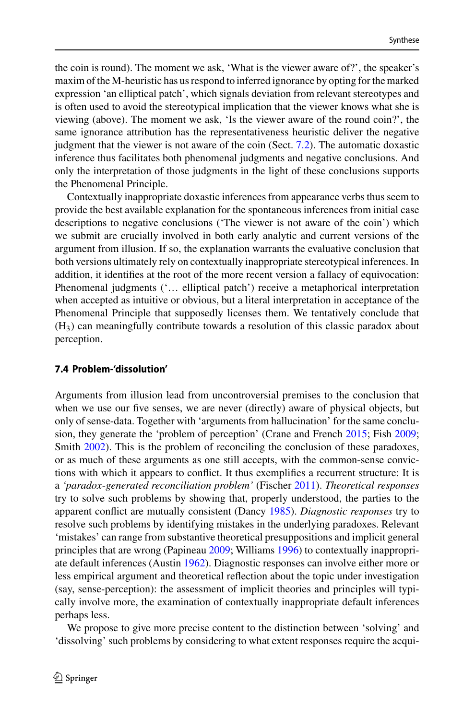the coin is round). The moment we ask, 'What is the viewer aware of?', the speaker's maxim of the M-heuristic has us respond to inferred ignorance by opting for the marked expression 'an elliptical patch', which signals deviation from relevant stereotypes and is often used to avoid the stereotypical implication that the viewer knows what she is viewing (above). The moment we ask, 'Is the viewer aware of the round coin?', the same ignorance attribution has the representativeness heuristic deliver the negative judgment that the viewer is not aware of the coin (Sect. [7.2\)](#page-24-0). The automatic doxastic inference thus facilitates both phenomenal judgments and negative conclusions. And only the interpretation of those judgments in the light of these conclusions supports the Phenomenal Principle.

Contextually inappropriate doxastic inferences from appearance verbs thus seem to provide the best available explanation for the spontaneous inferences from initial case descriptions to negative conclusions ('The viewer is not aware of the coin') which we submit are crucially involved in both early analytic and current versions of the argument from illusion. If so, the explanation warrants the evaluative conclusion that both versions ultimately rely on contextually inappropriate stereotypical inferences. In addition, it identifies at the root of the more recent version a fallacy of equivocation: Phenomenal judgments ('… elliptical patch') receive a metaphorical interpretation when accepted as intuitive or obvious, but a literal interpretation in acceptance of the Phenomenal Principle that supposedly licenses them. We tentatively conclude that  $(H<sub>3</sub>)$  can meaningfully contribute towards a resolution of this classic paradox about perception.

### <span id="page-31-0"></span>**7.4 Problem-'dissolution'**

Arguments from illusion lead from uncontroversial premises to the conclusion that when we use our five senses, we are never (directly) aware of physical objects, but only of sense-data. Together with 'arguments from hallucination' for the same conclusion, they generate the 'problem of perception' (Crane and French [2015;](#page-36-4) Fish [2009;](#page-37-6) Smith [2002\)](#page-40-2). This is the problem of reconciling the conclusion of these paradoxes, or as much of these arguments as one still accepts, with the common-sense convictions with which it appears to conflict. It thus exemplifies a recurrent structure: It is a *'paradox*-*generated reconciliation problem'* (Fischer [2011\)](#page-36-0). *Theoretical responses* try to solve such problems by showing that, properly understood, the parties to the apparent conflict are mutually consistent (Dancy [1985\)](#page-36-24). *Diagnostic responses* try to resolve such problems by identifying mistakes in the underlying paradoxes. Relevant 'mistakes' can range from substantive theoretical presuppositions and implicit general principles that are wrong (Papineau [2009;](#page-40-30) Williams [1996\)](#page-41-24) to contextually inappropriate default inferences (Austin [1962\)](#page-35-0). Diagnostic responses can involve either more or less empirical argument and theoretical reflection about the topic under investigation (say, sense-perception): the assessment of implicit theories and principles will typically involve more, the examination of contextually inappropriate default inferences perhaps less.

We propose to give more precise content to the distinction between 'solving' and 'dissolving' such problems by considering to what extent responses require the acqui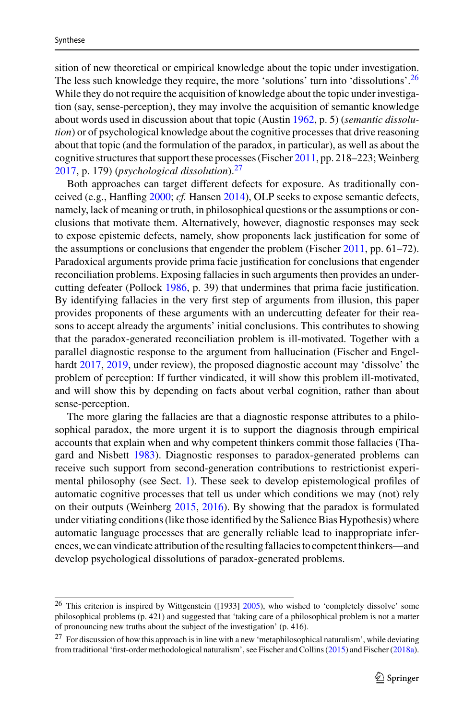sition of new theoretical or empirical knowledge about the topic under investigation. The less such knowledge they require, the more 'solutions' turn into 'dissolutions'.<sup>26</sup> While they do not require the acquisition of knowledge about the topic under investigation (say, sense-perception), they may involve the acquisition of semantic knowledge about words used in discussion about that topic (Austin [1962,](#page-35-0) p. 5) (*semantic dissolution*) or of psychological knowledge about the cognitive processes that drive reasoning about that topic (and the formulation of the paradox, in particular), as well as about the cognitive structures that support these processes (Fischer  $2011$ , pp. 218–223; Weinberg [2017,](#page-41-3) p. 179) (*psychological dissolution*).[27](#page-32-1)

Both approaches can target different defects for exposure. As traditionally conceived (e.g., Hanfling [2000;](#page-37-28) *cf.* Hansen [2014\)](#page-37-2), OLP seeks to expose semantic defects, namely, lack of meaning or truth, in philosophical questions or the assumptions or conclusions that motivate them. Alternatively, however, diagnostic responses may seek to expose epistemic defects, namely, show proponents lack justification for some of the assumptions or conclusions that engender the problem (Fischer [2011,](#page-36-0) pp. 61–72). Paradoxical arguments provide prima facie justification for conclusions that engender reconciliation problems. Exposing fallacies in such arguments then provides an undercutting defeater (Pollock [1986,](#page-40-31) p. 39) that undermines that prima facie justification. By identifying fallacies in the very first step of arguments from illusion, this paper provides proponents of these arguments with an undercutting defeater for their reasons to accept already the arguments' initial conclusions. This contributes to showing that the paradox-generated reconciliation problem is ill-motivated. Together with a parallel diagnostic response to the argument from hallucination (Fischer and Engelhardt [2017,](#page-37-5) [2019,](#page-37-15) under review), the proposed diagnostic account may 'dissolve' the problem of perception: If further vindicated, it will show this problem ill-motivated, and will show this by depending on facts about verbal cognition, rather than about sense-perception.

The more glaring the fallacies are that a diagnostic response attributes to a philosophical paradox, the more urgent it is to support the diagnosis through empirical accounts that explain when and why competent thinkers commit those fallacies (Thagard and Nisbett [1983\)](#page-41-11). Diagnostic responses to paradox-generated problems can receive such support from second-generation contributions to restrictionist experimental philosophy (see Sect. [1\)](#page-1-2). These seek to develop epistemological profiles of automatic cognitive processes that tell us under which conditions we may (not) rely on their outputs (Weinberg [2015,](#page-41-5) [2016\)](#page-41-6). By showing that the paradox is formulated under vitiating conditions (like those identified by the Salience Bias Hypothesis) where automatic language processes that are generally reliable lead to inappropriate inferences, we can vindicate attribution of the resulting fallacies to competent thinkers—and develop psychological dissolutions of paradox-generated problems.

<span id="page-32-0"></span><sup>&</sup>lt;sup>26</sup> This criterion is inspired by Wittgenstein ([1933] [2005\)](#page-41-25), who wished to 'completely dissolve' some philosophical problems (p. 421) and suggested that 'taking care of a philosophical problem is not a matter of pronouncing new truths about the subject of the investigation' (p. 416).

<span id="page-32-1"></span> $27$  For discussion of how this approach is in line with a new 'metaphilosophical naturalism', while deviating from traditional 'first-order methodological naturalism', see Fischer and Collins [\(2015\)](#page-36-25) and Fischer [\(2018a\)](#page-36-26).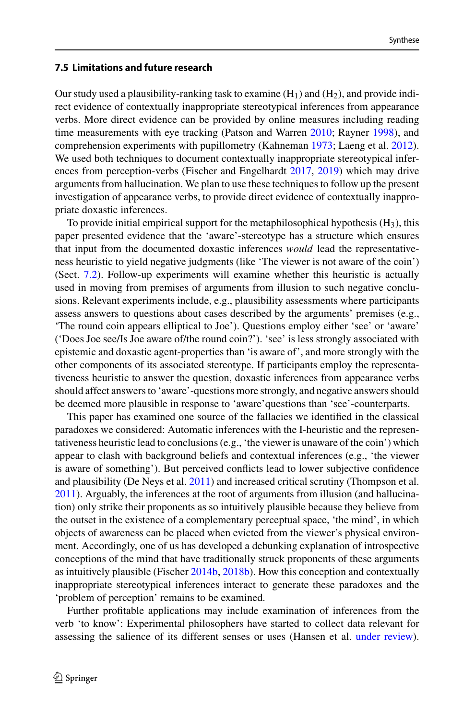#### <span id="page-33-0"></span>**7.5 Limitations and future research**

Our study used a plausibility-ranking task to examine  $(H_1)$  and  $(H_2)$ , and provide indirect evidence of contextually inappropriate stereotypical inferences from appearance verbs. More direct evidence can be provided by online measures including reading time measurements with eye tracking (Patson and Warren [2010;](#page-40-4) Rayner [1998\)](#page-40-5), and comprehension experiments with pupillometry (Kahneman [1973;](#page-38-28) Laeng et al. [2012\)](#page-38-29). We used both techniques to document contextually inappropriate stereotypical inferences from perception-verbs (Fischer and Engelhardt [2017,](#page-37-5) [2019\)](#page-37-15) which may drive arguments from hallucination. We plan to use these techniques to follow up the present investigation of appearance verbs, to provide direct evidence of contextually inappropriate doxastic inferences.

To provide initial empirical support for the metaphilosophical hypothesis  $(H_3)$ , this paper presented evidence that the 'aware'-stereotype has a structure which ensures that input from the documented doxastic inferences *would* lead the representativeness heuristic to yield negative judgments (like 'The viewer is not aware of the coin') (Sect. [7.2\)](#page-24-0). Follow-up experiments will examine whether this heuristic is actually used in moving from premises of arguments from illusion to such negative conclusions. Relevant experiments include, e.g., plausibility assessments where participants assess answers to questions about cases described by the arguments' premises (e.g., 'The round coin appears elliptical to Joe'). Questions employ either 'see' or 'aware' ('Does Joe see/Is Joe aware of/the round coin?'). 'see' is less strongly associated with epistemic and doxastic agent-properties than 'is aware of', and more strongly with the other components of its associated stereotype. If participants employ the representativeness heuristic to answer the question, doxastic inferences from appearance verbs should affect answers to 'aware'-questions more strongly, and negative answers should be deemed more plausible in response to 'aware'questions than 'see'-counterparts.

This paper has examined one source of the fallacies we identified in the classical paradoxes we considered: Automatic inferences with the I-heuristic and the representativeness heuristic lead to conclusions (e.g., 'the viewer is unaware of the coin') which appear to clash with background beliefs and contextual inferences (e.g., 'the viewer is aware of something'). But perceived conflicts lead to lower subjective confidence and plausibility (De Neys et al. [2011\)](#page-36-27) and increased critical scrutiny (Thompson et al. [2011\)](#page-41-22). Arguably, the inferences at the root of arguments from illusion (and hallucination) only strike their proponents as so intuitively plausible because they believe from the outset in the existence of a complementary perceptual space, 'the mind', in which objects of awareness can be placed when evicted from the viewer's physical environment. Accordingly, one of us has developed a debunking explanation of introspective conceptions of the mind that have traditionally struck proponents of these arguments as intuitively plausible (Fischer [2014b,](#page-36-28) [2018b\)](#page-36-29). How this conception and contextually inappropriate stereotypical inferences interact to generate these paradoxes and the 'problem of perception' remains to be examined.

Further profitable applications may include examination of inferences from the verb 'to know': Experimental philosophers have started to collect data relevant for assessing the salience of its different senses or uses (Hansen et al. [under review\)](#page-38-30).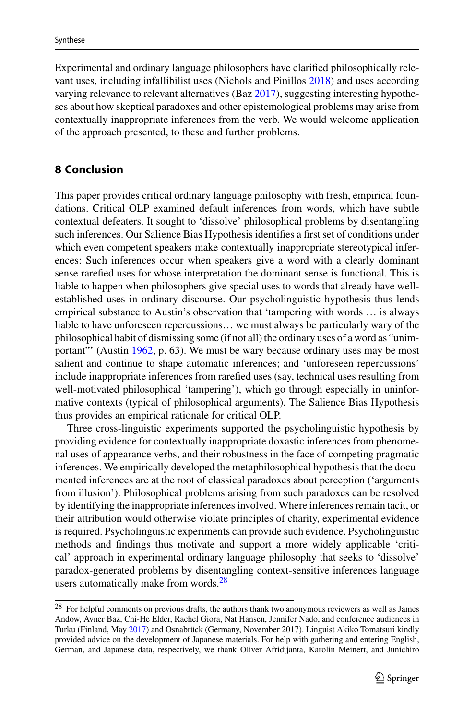Experimental and ordinary language philosophers have clarified philosophically relevant uses, including infallibilist uses (Nichols and Pinillos [2018\)](#page-39-27) and uses according varying relevance to relevant alternatives (Baz [2017\)](#page-35-12), suggesting interesting hypotheses about how skeptical paradoxes and other epistemological problems may arise from contextually inappropriate inferences from the verb. We would welcome application of the approach presented, to these and further problems.

## **8 Conclusion**

This paper provides critical ordinary language philosophy with fresh, empirical foundations. Critical OLP examined default inferences from words, which have subtle contextual defeaters. It sought to 'dissolve' philosophical problems by disentangling such inferences. Our Salience Bias Hypothesis identifies a first set of conditions under which even competent speakers make contextually inappropriate stereotypical inferences: Such inferences occur when speakers give a word with a clearly dominant sense rarefied uses for whose interpretation the dominant sense is functional. This is liable to happen when philosophers give special uses to words that already have wellestablished uses in ordinary discourse. Our psycholinguistic hypothesis thus lends empirical substance to Austin's observation that 'tampering with words … is always liable to have unforeseen repercussions… we must always be particularly wary of the philosophical habit of dismissing some (if not all) the ordinary uses of a word as "unimportant"' (Austin [1962,](#page-35-0) p. 63). We must be wary because ordinary uses may be most salient and continue to shape automatic inferences; and 'unforeseen repercussions' include inappropriate inferences from rarefied uses (say, technical uses resulting from well-motivated philosophical 'tampering'), which go through especially in uninformative contexts (typical of philosophical arguments). The Salience Bias Hypothesis thus provides an empirical rationale for critical OLP.

Three cross-linguistic experiments supported the psycholinguistic hypothesis by providing evidence for contextually inappropriate doxastic inferences from phenomenal uses of appearance verbs, and their robustness in the face of competing pragmatic inferences. We empirically developed the metaphilosophical hypothesis that the documented inferences are at the root of classical paradoxes about perception ('arguments from illusion'). Philosophical problems arising from such paradoxes can be resolved by identifying the inappropriate inferences involved. Where inferences remain tacit, or their attribution would otherwise violate principles of charity, experimental evidence is required. Psycholinguistic experiments can provide such evidence. Psycholinguistic methods and findings thus motivate and support a more widely applicable 'critical' approach in experimental ordinary language philosophy that seeks to 'dissolve' paradox-generated problems by disentangling context-sensitive inferences language users automatically make from words.<sup>[28](#page-34-0)</sup>

<span id="page-34-0"></span><sup>&</sup>lt;sup>28</sup> For helpful comments on previous drafts, the authors thank two anonymous reviewers as well as James Andow, Avner Baz, Chi-He Elder, Rachel Giora, Nat Hansen, Jennifer Nado, and conference audiences in Turku (Finland, May [2017\)](#page-37-29) and Osnabrück (Germany, November 2017). Linguist Akiko Tomatsuri kindly provided advice on the development of Japanese materials. For help with gathering and entering English, German, and Japanese data, respectively, we thank Oliver Afridijanta, Karolin Meinert, and Junichiro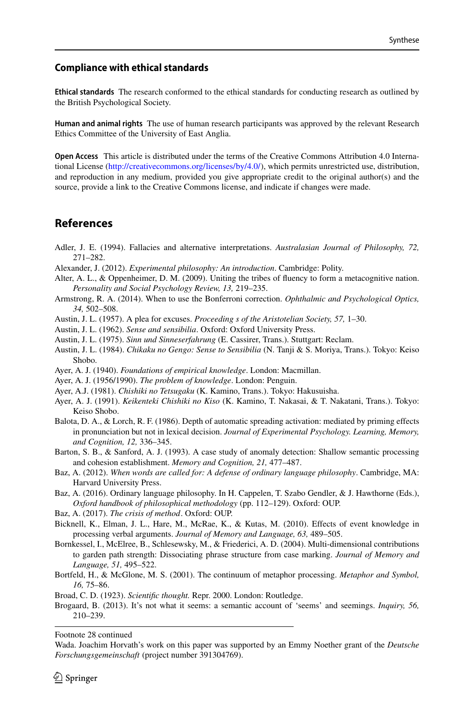#### **Compliance with ethical standards**

**Ethical standards** The research conformed to the ethical standards for conducting research as outlined by the British Psychological Society.

**Human and animal rights** The use of human research participants was approved by the relevant Research Ethics Committee of the University of East Anglia.

**Open Access** This article is distributed under the terms of the Creative Commons Attribution 4.0 International License [\(http://creativecommons.org/licenses/by/4.0/\)](http://creativecommons.org/licenses/by/4.0/), which permits unrestricted use, distribution, and reproduction in any medium, provided you give appropriate credit to the original author(s) and the source, provide a link to the Creative Commons license, and indicate if changes were made.

## **References**

- <span id="page-35-7"></span>Adler, J. E. (1994). Fallacies and alternative interpretations. *Australasian Journal of Philosophy, 72,* 271–282.
- <span id="page-35-3"></span>Alexander, J. (2012). *Experimental philosophy: An introduction*. Cambridge: Polity.
- <span id="page-35-13"></span>Alter, A. L., & Oppenheimer, D. M. (2009). Uniting the tribes of fluency to form a metacognitive nation. *Personality and Social Psychology Review, 13,* 219–235.
- <span id="page-35-14"></span>Armstrong, R. A. (2014). When to use the Bonferroni correction. *Ophthalmic and Psychological Optics, 34,* 502–508.
- <span id="page-35-4"></span>Austin, J. L. (1957). A plea for excuses. *Proceeding s of the Aristotelian Society, 57,* 1–30.
- <span id="page-35-0"></span>Austin, J. L. (1962). *Sense and sensibilia*. Oxford: Oxford University Press.
- <span id="page-35-15"></span>Austin, J. L. (1975). *Sinn und Sinneserfahrung* (E. Cassirer, Trans.). Stuttgart: Reclam.
- <span id="page-35-17"></span>Austin, J. L. (1984). *Chikaku no Gengo: Sense to Sensibilia* (N. Tanji & S. Moriya, Trans.). Tokyo: Keiso Shobo.
- <span id="page-35-16"></span>Ayer, A. J. (1940). *Foundations of empirical knowledge*. London: Macmillan.
- <span id="page-35-9"></span>Ayer, A. J. (1956/1990). *The problem of knowledge*. London: Penguin.
- <span id="page-35-19"></span>Ayer, A.J. (1981). *Chishiki no Tetsugaku* (K. Kamino, Trans.). Tokyo: Hakusuisha.
- <span id="page-35-18"></span>Ayer, A. J. (1991). *Keikenteki Chishiki no Kiso* (K. Kamino, T. Nakasai, & T. Nakatani, Trans.). Tokyo: Keiso Shobo.
- <span id="page-35-5"></span>Balota, D. A., & Lorch, R. F. (1986). Depth of automatic spreading activation: mediated by priming effects in pronunciation but not in lexical decision. *Journal of Experimental Psychology. Learning, Memory, and Cognition, 12,* 336–345.
- <span id="page-35-21"></span>Barton, S. B., & Sanford, A. J. (1993). A case study of anomaly detection: Shallow semantic processing and cohesion establishment. *Memory and Cognition, 21,* 477–487.
- <span id="page-35-1"></span>Baz, A. (2012). *When words are called for: A defense of ordinary language philosophy*. Cambridge, MA: Harvard University Press.
- <span id="page-35-2"></span>Baz, A. (2016). Ordinary language philosophy. In H. Cappelen, T. Szabo Gendler, & J. Hawthorne (Eds.), *Oxford handbook of philosophical methodology* (pp. 112–129). Oxford: OUP.
- <span id="page-35-12"></span>Baz, A. (2017). *The crisis of method*. Oxford: OUP.
- <span id="page-35-6"></span>Bicknell, K., Elman, J. L., Hare, M., McRae, K., & Kutas, M. (2010). Effects of event knowledge in processing verbal arguments. *Journal of Memory and Language, 63,* 489–505.
- <span id="page-35-11"></span>Bornkessel, I., McElree, B., Schlesewsky, M., & Friederici, A. D. (2004). Multi-dimensional contributions to garden path strength: Dissociating phrase structure from case marking. *Journal of Memory and Language, 51,* 495–522.
- <span id="page-35-10"></span>Bortfeld, H., & McGlone, M. S. (2001). The continuum of metaphor processing. *Metaphor and Symbol, 16,* 75–86.
- <span id="page-35-20"></span>Broad, C. D. (1923). *Scientific thought.* Repr. 2000. London: Routledge.
- <span id="page-35-8"></span>Brogaard, B. (2013). It's not what it seems: a semantic account of 'seems' and seemings. *Inquiry, 56,* 210–239.

Footnote 28 continued

Wada. Joachim Horvath's work on this paper was supported by an Emmy Noether grant of the *Deutsche Forschungsgemeinschaft* (project number 391304769).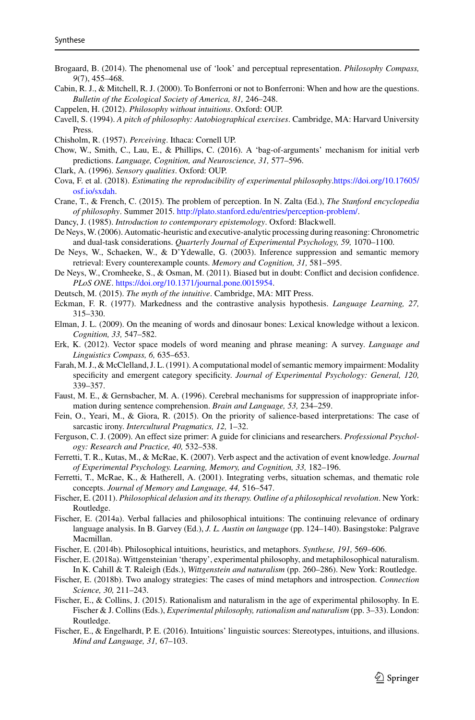- <span id="page-36-14"></span>Brogaard, B. (2014). The phenomenal use of 'look' and perceptual representation. *Philosophy Compass, 9*(7), 455–468.
- <span id="page-36-20"></span>Cabin, R. J., & Mitchell, R. J. (2000). To Bonferroni or not to Bonferroni: When and how are the questions. *Bulletin of the Ecological Society of America, 81,* 246–248.
- <span id="page-36-2"></span>Cappelen, H. (2012). *Philosophy without intuitions*. Oxford: OUP.
- <span id="page-36-22"></span>Cavell, S. (1994). *A pitch of philosophy: Autobiographical exercises*. Cambridge, MA: Harvard University Press.
- <span id="page-36-17"></span>Chisholm, R. (1957). *Perceiving*. Ithaca: Cornell UP.
- <span id="page-36-8"></span>Chow, W., Smith, C., Lau, E., & Phillips, C. (2016). A 'bag-of-arguments' mechanism for initial verb predictions. *Language, Cognition, and Neuroscience, 31,* 577–596.
- <span id="page-36-23"></span>Clark, A. (1996). *Sensory qualities*. Oxford: OUP.
- <span id="page-36-1"></span>Cova, F. et al. (2018). *[Estimating the reproducibility of experimental philosophy](https://doi.org/10.17605/osf.io/sxdah)*.https://doi.org/10.17605/ osf.io/sxdah.
- <span id="page-36-4"></span>Crane, T., & French, C. (2015). The problem of perception. In N. Zalta (Ed.), *The Stanford encyclopedia of philosophy*. Summer 2015. [http://plato.stanford.edu/entries/perception-problem/.](http://plato.stanford.edu/entries/perception-problem/)
- <span id="page-36-24"></span>Dancy, J. (1985). *Introduction to contemporary epistemology*. Oxford: Blackwell.
- <span id="page-36-19"></span>De Neys,W. (2006). Automatic-heuristic and executive-analytic processing during reasoning: Chronometric and dual-task considerations. *Quarterly Journal of Experimental Psychology, 59,* 1070–1100.
- <span id="page-36-13"></span>De Neys, W., Schaeken, W., & D'Ydewalle, G. (2003). Inference suppression and semantic memory retrieval: Every counterexample counts. *Memory and Cognition, 31,* 581–595.
- <span id="page-36-27"></span>De Neys, W., Cromheeke, S., & Osman, M. (2011). Biased but in doubt: Conflict and decision confidence. *PLoS ONE*. [https://doi.org/10.1371/journal.pone.0015954.](https://doi.org/10.1371/journal.pone.0015954)
- <span id="page-36-3"></span>Deutsch, M. (2015). *The myth of the intuitive*. Cambridge, MA: MIT Press.
- <span id="page-36-18"></span>Eckman, F. R. (1977). Markedness and the contrastive analysis hypothesis. *Language Learning, 27,* 315–330.
- <span id="page-36-10"></span>Elman, J. L. (2009). On the meaning of words and dinosaur bones: Lexical knowledge without a lexicon. *Cognition, 33,* 547–582.
- <span id="page-36-15"></span>Erk, K. (2012). Vector space models of word meaning and phrase meaning: A survey. *Language and Linguistics Compass, 6,* 635–653.
- <span id="page-36-12"></span>Farah, M. J., & McClelland, J. L. (1991). A computational model of semantic memory impairment: Modality specificity and emergent category specificity. *Journal of Experimental Psychology: General, 120,* 339–357.
- <span id="page-36-11"></span>Faust, M. E., & Gernsbacher, M. A. (1996). Cerebral mechanisms for suppression of inappropriate information during sentence comprehension. *Brain and Language, 53,* 234–259.
- <span id="page-36-5"></span>Fein, O., Yeari, M., & Giora, R. (2015). On the priority of salience-based interpretations: The case of sarcastic irony. *Intercultural Pragmatics, 12,* 1–32.
- <span id="page-36-21"></span>Ferguson, C. J. (2009). An effect size primer: A guide for clinicians and researchers. *Professional Psychology: Research and Practice, 40,* 532–538.
- <span id="page-36-9"></span>Ferretti, T. R., Kutas, M., & McRae, K. (2007). Verb aspect and the activation of event knowledge. *Journal of Experimental Psychology. Learning, Memory, and Cognition, 33,* 182–196.
- <span id="page-36-7"></span>Ferretti, T., McRae, K., & Hatherell, A. (2001). Integrating verbs, situation schemas, and thematic role concepts. *Journal of Memory and Language, 44,* 516–547.
- <span id="page-36-0"></span>Fischer, E. (2011). *Philosophical delusion and its therapy. Outline of a philosophical revolution*. New York: Routledge.
- <span id="page-36-6"></span>Fischer, E. (2014a). Verbal fallacies and philosophical intuitions: The continuing relevance of ordinary language analysis. In B. Garvey (Ed.), *J. L. Austin on language* (pp. 124–140). Basingstoke: Palgrave Macmillan.
- <span id="page-36-28"></span>Fischer, E. (2014b). Philosophical intuitions, heuristics, and metaphors. *Synthese, 191,* 569–606.
- <span id="page-36-26"></span>Fischer, E. (2018a). Wittgensteinian 'therapy', experimental philosophy, and metaphilosophical naturalism. In K. Cahill & T. Raleigh (Eds.), *Wittgenstein and naturalism* (pp. 260–286). New York: Routledge.
- <span id="page-36-29"></span>Fischer, E. (2018b). Two analogy strategies: The cases of mind metaphors and introspection. *Connection Science, 30,* 211–243.
- <span id="page-36-25"></span>Fischer, E., & Collins, J. (2015). Rationalism and naturalism in the age of experimental philosophy. In E. Fischer & J. Collins (Eds.), *Experimental philosophy, rationalism and naturalism* (pp. 3–33). London: Routledge.
- <span id="page-36-16"></span>Fischer, E., & Engelhardt, P. E. (2016). Intuitions' linguistic sources: Stereotypes, intuitions, and illusions. *Mind and Language, 31,* 67–103.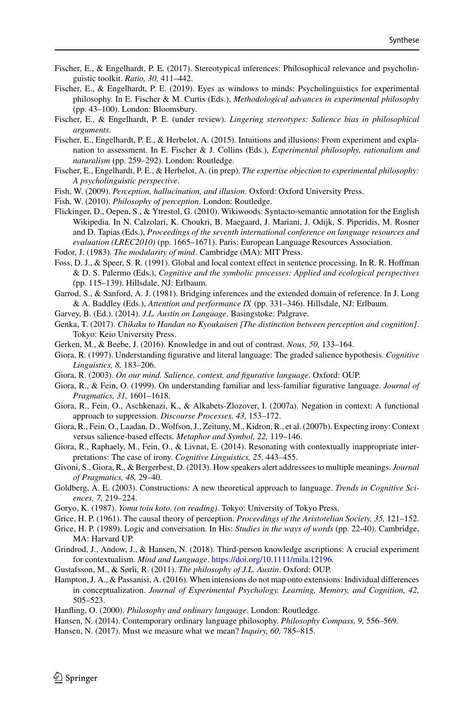- <span id="page-37-5"></span>Fischer, E., & Engelhardt, P. E. (2017). Stereotypical inferences: Philosophical relevance and psycholinguistic toolkit. *Ratio, 30,* 411–442.
- <span id="page-37-15"></span>Fischer, E., & Engelhardt, P. E. (2019). Eyes as windows to minds: Psycholinguistics for experimental philosophy. In E. Fischer & M. Curtis (Eds.), *Methodological advances in experimental philosophy* (pp. 43–100). London: Bloomsbury.
- <span id="page-37-19"></span>Fischer, E., & Engelhardt, P. E. (under review). *Lingering stereotypes: Salience bias in philosophical arguments*.
- <span id="page-37-21"></span>Fischer, E., Engelhardt, P. E., & Herbelot, A. (2015). Intuitions and illusions: From experiment and explanation to assessment. In E. Fischer & J. Collins (Eds.), *Experimental philosophy, rationalism and naturalism* (pp. 259–292). London: Routledge.
- Fischer, E., Engelhardt, P. E., & Herbelot, A. (in prep). *The expertise objection to experimental philosophy: A psycholinguistic perspective*.
- <span id="page-37-6"></span>Fish, W. (2009). *Perception, hallucination, and illusion*. Oxford: Oxford University Press.
- <span id="page-37-27"></span>Fish, W. (2010). *Philosophy of perception*. London: Routledge.
- <span id="page-37-22"></span>Flickinger, D., Oepen, S., & Ytrestol, G. (2010). Wikiwoods: Syntacto-semantic annotation for the English Wikipedia. In N. Calzolari, K. Choukri, B. Maegaard, J. Mariani, J. Odijk, S. Piperidis, M. Rosner and D. Tapias (Eds.), *Proceedings of the seventh international conference on language resources and evaluation (LREC2010)* (pp. 1665–1671). Paris: European Language Resources Association.
- <span id="page-37-11"></span>Fodor, J. (1983). *The modularity of mind*. Cambridge (MA): MIT Press.
- <span id="page-37-20"></span>Foss, D. J., & Speer, S. R. (1991). Global and local context effect in sentence processing. In R. R. Hoffman & D. S. Palermo (Eds.), *Cognitive and the symbolic processes: Applied and ecological perspectives* (pp. 115–139). Hillsdale, NJ: Erlbaum.
- <span id="page-37-9"></span>Garrod, S., & Sanford, A. J. (1981). Bridging inferences and the extended domain of reference. In J. Long & A. Baddley (Eds.), *Attention and performance IX* (pp. 331–346). Hillsdale, NJ: Erlbaum.
- <span id="page-37-0"></span>Garvey, B. (Ed.). (2014). *J.L. Austin on Language*. Basingstoke: Palgrave.
- <span id="page-37-25"></span>Genka, T. (2017). *Chikaku to Handan no Kyoukaisen [The distinction between perception and cognition]*. Tokyo: Keio University Press.
- <span id="page-37-3"></span>Gerken, M., & Beebe, J. (2016). Knowledge in and out of contrast. *Nous, 50,* 133–164.
- <span id="page-37-12"></span>Giora, R. (1997). Understanding figurative and literal language: The graded salience hypothesis. *Cognitive Linguistics, 8,* 183–206.
- <span id="page-37-7"></span>Giora, R. (2003). *On our mind. Salience, context, and figurative language*. Oxford: OUP.
- <span id="page-37-16"></span>Giora, R., & Fein, O. (1999). On understanding familiar and less-familiar figurative language. *Journal of Pragmatics, 31,* 1601–1618.
- <span id="page-37-18"></span>Giora, R., Fein, O., Aschkenazi, K., & Alkabets-Zlozover, I. (2007a). Negation in context: A functional approach to suppression. *Discourse Processes, 43,* 153–172.
- <span id="page-37-17"></span>Giora, R., Fein, O., Laadan, D., Wolfson, J., Zeituny, M., Kidron, R., et al. (2007b). Expecting irony: Context versus salience-based effects. *Metaphor and Symbol, 22,* 119–146.
- <span id="page-37-14"></span>Giora, R., Raphaely, M., Fein, O., & Livnat, E. (2014). Resonating with contextually inappropriate interpretations: The case of irony. *Cognitive Linguistics, 25,* 443–455.
- <span id="page-37-13"></span>Givoni, S., Giora, R., & Bergerbest, D. (2013). How speakers alert addressees to multiple meanings. *Journal of Pragmatics, 48,* 29–40.
- <span id="page-37-10"></span>Goldberg, A. E. (2003). Constructions: A new theoretical approach to language. *Trends in Cognitive Sciences, 7,* 219–224.
- <span id="page-37-26"></span>Goryo, K. (1987). *Yomu toiu koto. (on reading)*. Tokyo: University of Tokyo Press.
- <span id="page-37-24"></span>Grice, H. P. (1961). The causal theory of perception. *Proceedings of the Aristotelian Society, 35,* 121–152.
- <span id="page-37-23"></span>Grice, H. P. (1989). Logic and conversation. In His: *Studies in the ways of words* (pp. 22-40). Cambridge, MA: Harvard UP.
- <span id="page-37-4"></span>Grindrod, J., Andow, J., & Hansen, N. (2018). Third-person knowledge ascriptions: A crucial experiment for contextualism. *Mind and Language*. [https://doi.org/10.1111/mila.12196.](https://doi.org/10.1111/mila.12196)
- <span id="page-37-1"></span>Gustafsson, M., & Sørli, R. (2011). *The philosophy of J.L. Austin*. Oxford: OUP.
- <span id="page-37-8"></span>Hampton, J. A., & Passanisi, A. (2016). When intensions do not map onto extensions: Individual differences in conceptualization. *Journal of Experimental Psychology. Learning, Memory, and Cognition, 42,* 505–523.
- <span id="page-37-28"></span>Hanfling, O. (2000). *Philosophy and ordinary language*. London: Routledge.
- <span id="page-37-2"></span>Hansen, N. (2014). Contemporary ordinary language philosophy. *Philosophy Compass, 9,* 556–569.
- <span id="page-37-29"></span>Hansen, N. (2017). Must we measure what we mean? *Inquiry, 60,* 785–815.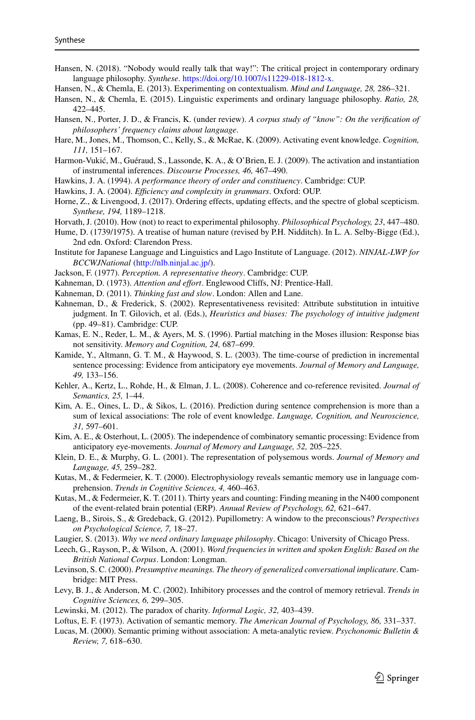- <span id="page-38-0"></span>Hansen, N. (2018). "Nobody would really talk that way!": The critical project in contemporary ordinary language philosophy. *Synthese*. [https://doi.org/10.1007/s11229-018-1812-x.](https://doi.org/10.1007/s11229-018-1812-x)
- <span id="page-38-4"></span>Hansen, N., & Chemla, E. (2013). Experimenting on contextualism. *Mind and Language, 28,* 286–321.
- <span id="page-38-2"></span>Hansen, N., & Chemla, E. (2015). Linguistic experiments and ordinary language philosophy. *Ratio, 28,* 422–445.
- <span id="page-38-30"></span>Hansen, N., Porter, J. D., & Francis, K. (under review). *A corpus study of "know": On the verification of philosophers' frequency claims about language*.
- <span id="page-38-7"></span>Hare, M., Jones, M., Thomson, C., Kelly, S., & McRae, K. (2009). Activating event knowledge. *Cognition, 111,* 151–167.
- <span id="page-38-10"></span>Harmon-Vukić, M., Guéraud, S., Lassonde, K. A., & O'Brien, E. J. (2009). The activation and instantiation of instrumental inferences. *Discourse Processes, 46,* 467–490.
- <span id="page-38-21"></span>Hawkins, J. A. (1994). *A performance theory of order and constituency*. Cambridge: CUP.
- <span id="page-38-22"></span>Hawkins, J. A. (2004). *Efficiency and complexity in grammars*. Oxford: OUP.
- <span id="page-38-5"></span>Horne, Z., & Livengood, J. (2017). Ordering effects, updating effects, and the spectre of global scepticism. *Synthese, 194,* 1189–1218.
- <span id="page-38-3"></span>Horvath, J. (2010). How (not) to react to experimental philosophy. *Philosophical Psychology, 23*, 447–480.
- <span id="page-38-25"></span>Hume, D. (1739/1975). A treatise of human nature (revised by P.H. Nidditch). In L. A. Selby-Bigge (Ed.), 2nd edn. Oxford: Clarendon Press.
- Institute for Japanese Language and Linguistics and Lago Institute of Language. (2012). *NINJAL*-*LWP for BCCWJNational* [\(http://nlb.ninjal.ac.jp/\)](http://nlb.ninjal.ac.jp/).
- <span id="page-38-20"></span>Jackson, F. (1977). *Perception. A representative theory*. Cambridge: CUP.
- <span id="page-38-28"></span>Kahneman, D. (1973). *Attention and effort*. Englewood Cliffs, NJ: Prentice-Hall.
- <span id="page-38-24"></span>Kahneman, D. (2011). *Thinking fast and slow*. London: Allen and Lane.
- <span id="page-38-26"></span>Kahneman, D., & Frederick, S. (2002). Representativeness revisited: Attribute substitution in intuitive judgment. In T. Gilovich, et al. (Eds.), *Heuristics and biases: The psychology of intuitive judgment* (pp. 49–81). Cambridge: CUP.
- <span id="page-38-27"></span>Kamas, E. N., Reder, L. M., & Ayers, M. S. (1996). Partial matching in the Moses illusion: Response bias not sensitivity. *Memory and Cognition, 24,* 687–699.
- <span id="page-38-12"></span>Kamide, Y., Altmann, G. T. M., & Haywood, S. L. (2003). The time-course of prediction in incremental sentence processing: Evidence from anticipatory eye movements. *Journal of Memory and Language, 49,* 133–156.
- <span id="page-38-13"></span>Kehler, A., Kertz, L., Rohde, H., & Elman, J. L. (2008). Coherence and co-reference revisited. *Journal of Semantics, 25,* 1–44.
- <span id="page-38-14"></span>Kim, A. E., Oines, L. D., & Sikos, L. (2016). Prediction during sentence comprehension is more than a sum of lexical associations: The role of event knowledge. *Language, Cognition, and Neuroscience, 31,* 597–601.
- <span id="page-38-15"></span>Kim, A. E., & Osterhout, L. (2005). The independence of combinatory semantic processing: Evidence from anticipatory eye-movements. *Journal of Memory and Language, 52,* 205–225.
- <span id="page-38-17"></span>Klein, D. E., & Murphy, G. L. (2001). The representation of polysemous words. *Journal of Memory and Language, 45,* 259–282.
- <span id="page-38-8"></span>Kutas, M., & Federmeier, K. T. (2000). Electrophysiology reveals semantic memory use in language comprehension. *Trends in Cognitive Sciences, 4,* 460–463.
- <span id="page-38-9"></span>Kutas, M., & Federmeier, K. T. (2011). Thirty years and counting: Finding meaning in the N400 component of the event-related brain potential (ERP). *Annual Review of Psychology, 62,* 621–647.
- <span id="page-38-29"></span>Laeng, B., Sirois, S., & Gredeback, G. (2012). Pupillometry: A window to the preconscious? *Perspectives on Psychological Science, 7,* 18–27.
- <span id="page-38-1"></span>Laugier, S. (2013). *Why we need ordinary language philosophy*. Chicago: University of Chicago Press.
- <span id="page-38-23"></span>Leech, G., Rayson, P., & Wilson, A. (2001). *Word frequencies in written and spoken English: Based on the British National Corpus*. London: Longman.
- <span id="page-38-6"></span>Levinson, S. C. (2000). *Presumptive meanings. The theory of generalized conversational implicature*. Cambridge: MIT Press.
- <span id="page-38-19"></span>Levy, B. J., & Anderson, M. C. (2002). Inhibitory processes and the control of memory retrieval. *Trends in Cognitive Sciences, 6,* 299–305.
- <span id="page-38-16"></span>Lewinski, M. (2012). The paradox of charity. *Informal Logic, 32,* 403–439.
- <span id="page-38-18"></span>Loftus, E. F. (1973). Activation of semantic memory. *The American Journal of Psychology, 86,* 331–337.
- <span id="page-38-11"></span>Lucas, M. (2000). Semantic priming without association: A meta-analytic review. *Psychonomic Bulletin & Review, 7,* 618–630.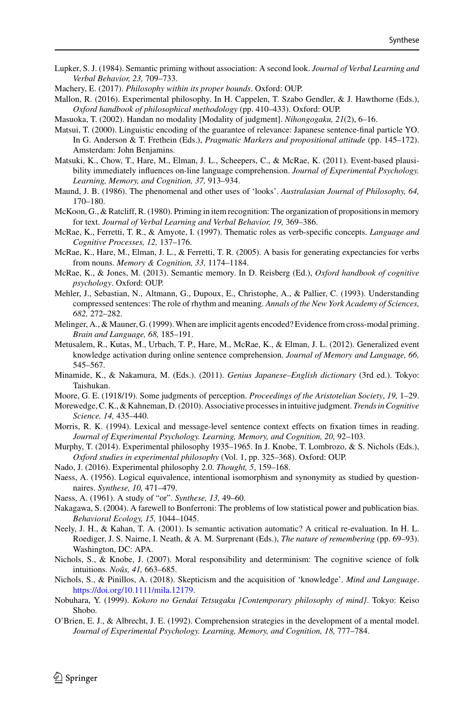- <span id="page-39-8"></span>Lupker, S. J. (1984). Semantic priming without association: A second look. *Journal of Verbal Learning and Verbal Behavior, 23,* 709–733.
- <span id="page-39-5"></span>Machery, E. (2017). *Philosophy within its proper bounds*. Oxford: OUP.
- <span id="page-39-1"></span>Mallon, R. (2016). Experimental philosophy. In H. Cappelen, T. Szabo Gendler, & J. Hawthorne (Eds.), *Oxford handbook of philosophical methodology* (pp. 410–433). Oxford: OUP.
- <span id="page-39-21"></span>Masuoka, T. (2002). Handan no modality [Modality of judgment]. *Nihongogaku, 21*(2), 6–16.
- <span id="page-39-22"></span>Matsui, T. (2000). Linguistic encoding of the guarantee of relevance: Japanese sentence-final particle YO. In G. Anderson & T. Frethein (Eds.), *Pragmatic Markers and propositional attitude* (pp. 145–172). Amsterdam: John Benjamins.
- <span id="page-39-13"></span>Matsuki, K., Chow, T., Hare, M., Elman, J. L., Scheepers, C., & McRae, K. (2011). Event-based plausibility immediately influences on-line language comprehension. *Journal of Experimental Psychology. Learning, Memory, and Cognition, 37,* 913–934.
- <span id="page-39-18"></span>Maund, J. B. (1986). The phenomenal and other uses of 'looks'. *Australasian Journal of Philosophy, 64,* 170–180.
- <span id="page-39-11"></span>McKoon, G., & Ratcliff, R. (1980). Priming in item recognition: The organization of propositions in memory for text. *Journal of Verbal Learning and Verbal Behavior, 19,* 369–386.
- <span id="page-39-7"></span>McRae, K., Ferretti, T. R., & Amyote, I. (1997). Thematic roles as verb-specific concepts. *Language and Cognitive Processes, 12,* 137–176.
- <span id="page-39-16"></span>McRae, K., Hare, M., Elman, J. L., & Ferretti, T. R. (2005). A basis for generating expectancies for verbs from nouns. *Memory & Cognition, 33,* 1174–1184.
- <span id="page-39-9"></span>McRae, K., & Jones, M. (2013). Semantic memory. In D. Reisberg (Ed.), *Oxford handbook of cognitive psychology*. Oxford: OUP.
- <span id="page-39-14"></span>Mehler, J., Sebastian, N., Altmann, G., Dupoux, E., Christophe, A., & Pallier, C. (1993). Understanding compressed sentences: The role of rhythm and meaning. *Annals of the New York Academy of Sciences, 682,* 272–282.
- <span id="page-39-20"></span>Melinger, A., & Mauner, G. (1999). When are implicit agents encoded? Evidence from cross-modal priming. *Brain and Language, 68,* 185–191.
- <span id="page-39-15"></span>Metusalem, R., Kutas, M., Urbach, T. P., Hare, M., McRae, K., & Elman, J. L. (2012). Generalized event knowledge activation during online sentence comprehension. *Journal of Memory and Language, 66,* 545–567.
- <span id="page-39-24"></span>Minamide, K., & Nakamura, M. (Eds.). (2011). *Genius Japanese–English dictionary* (3rd ed.). Tokyo: Taishukan.
- <span id="page-39-25"></span>Moore, G. E. (1918/19). Some judgments of perception. *Proceedings of the Aristotelian Society*, *19,* 1–29.
- <span id="page-39-26"></span>Morewedge, C. K., & Kahneman, D. (2010). Associative processes in intuitive judgment. *Trends in Cognitive Science, 14,* 435–440.
- <span id="page-39-17"></span>Morris, R. K. (1994). Lexical and message-level sentence context effects on fixation times in reading. *Journal of Experimental Psychology. Learning, Memory, and Cognition, 20,* 92–103.
- <span id="page-39-0"></span>Murphy, T. (2014). Experimental philosophy 1935–1965. In J. Knobe, T. Lombrozo, & S. Nichols (Eds.), *Oxford studies in experimental philosophy* (Vol. 1, pp. 325–368). Oxford: OUP.
- <span id="page-39-2"></span>Nado, J. (2016). Experimental philosophy 2.0. *Thought, 5*, 159–168.
- <span id="page-39-3"></span>Naess, A. (1956). Logical equivalence, intentional isomorphism and synonymity as studied by questionnaires. *Synthese, 10,* 471–479.
- <span id="page-39-4"></span>Naess, A. (1961). A study of "or". *Synthese, 13,* 49–60.
- <span id="page-39-23"></span>Nakagawa, S. (2004). A farewell to Bonferroni: The problems of low statistical power and publication bias. *Behavioral Ecology, 15,* 1044–1045.
- <span id="page-39-10"></span>Neely, J. H., & Kahan, T. A. (2001). Is semantic activation automatic? A critical re-evaluation. In H. L. Roediger, J. S. Nairne, I. Neath, & A. M. Surprenant (Eds.), *The nature of remembering* (pp. 69–93). Washington, DC: APA.
- <span id="page-39-6"></span>Nichols, S., & Knobe, J. (2007). Moral responsibility and determinism: The cognitive science of folk intuitions. *Noûs, 41,* 663–685.
- <span id="page-39-27"></span>Nichols, S., & Pinillos, A. (2018). Skepticism and the acquisition of 'knowledge'. *Mind and Language*. [https://doi.org/10.1111/mila.12179.](https://doi.org/10.1111/mila.12179)
- <span id="page-39-19"></span>Nobuhara, Y. (1999). *Kokoro no Gendai Tetsugaku [Contemporary philosophy of mind]*. Tokyo: Keiso Shobo.
- <span id="page-39-12"></span>O'Brien, E. J., & Albrecht, J. E. (1992). Comprehension strategies in the development of a mental model. *Journal of Experimental Psychology. Learning, Memory, and Cognition, 18,* 777–784.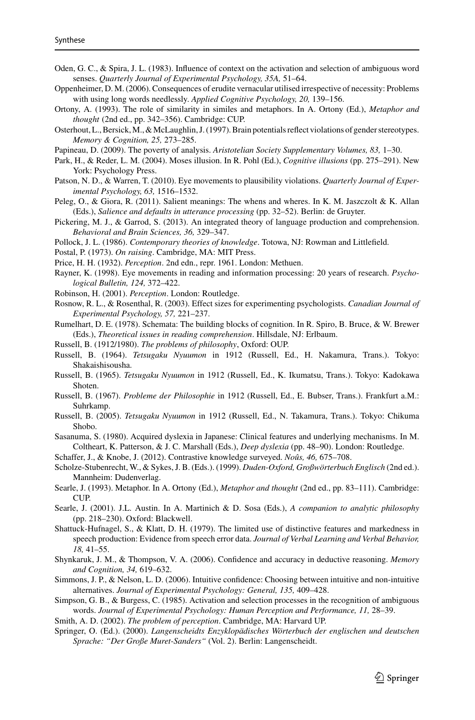- <span id="page-40-10"></span>Oden, G. C., & Spira, J. L. (1983). Influence of context on the activation and selection of ambiguous word senses. *Quarterly Journal of Experimental Psychology, 35A,* 51–64.
- <span id="page-40-16"></span>Oppenheimer, D. M. (2006). Consequences of erudite vernacular utilised irrespective of necessity: Problems with using long words needlessly. *Applied Cognitive Psychology, 20,* 139–156.
- <span id="page-40-13"></span>Ortony, A. (1993). The role of similarity in similes and metaphors. In A. Ortony (Ed.), *Metaphor and thought* (2nd ed., pp. 342–356). Cambridge: CUP.
- <span id="page-40-11"></span>Osterhout, L., Bersick,M., &McLaughlin, J. (1997). Brain potentials reflect violations of gender stereotypes. *Memory & Cognition, 25,* 273–285.
- <span id="page-40-30"></span>Papineau, D. (2009). The poverty of analysis. *Aristotelian Society Supplementary Volumes, 83,* 1–30.
- <span id="page-40-29"></span>Park, H., & Reder, L. M. (2004). Moses illusion. In R. Pohl (Ed.), *Cognitive illusions* (pp. 275–291). New York: Psychology Press.
- <span id="page-40-4"></span>Patson, N. D., & Warren, T. (2010). Eye movements to plausibility violations. *Quarterly Journal of Experimental Psychology, 63,* 1516–1532.
- <span id="page-40-9"></span>Peleg, O., & Giora, R. (2011). Salient meanings: The whens and wheres. In K. M. Jaszczolt & K. Allan (Eds.), *Salience and defaults in utterance processing* (pp. 32–52). Berlin: de Gruyter.
- <span id="page-40-7"></span>Pickering, M. J., & Garrod, S. (2013). An integrated theory of language production and comprehension. *Behavioral and Brain Sciences, 36,* 329–347.
- <span id="page-40-31"></span>Pollock, J. L. (1986). *Contemporary theories of knowledge*. Totowa, NJ: Rowman and Littlefield.
- <span id="page-40-12"></span>Postal, P. (1973). *On raising*. Cambridge, MA: MIT Press.
- <span id="page-40-3"></span>Price, H. H. (1932). *Perception*. 2nd edn., repr. 1961. London: Methuen.
- <span id="page-40-5"></span>Rayner, K. (1998). Eye movements in reading and information processing: 20 years of research. *Psychological Bulletin, 124,* 372–422.
- <span id="page-40-1"></span>Robinson, H. (2001). *Perception*. London: Routledge.
- <span id="page-40-24"></span>Rosnow, R. L., & Rosenthal, R. (2003). Effect sizes for experimenting psychologists. *Canadian Journal of Experimental Psychology, 57,* 221–237.
- <span id="page-40-6"></span>Rumelhart, D. E. (1978). Schemata: The building blocks of cognition. In R. Spiro, B. Bruce, & W. Brewer (Eds.), *Theoretical issues in reading comprehension*. Hillsdale, NJ: Erlbaum.
- <span id="page-40-26"></span>Russell, B. (1912/1980). *The problems of philosophy*, Oxford: OUP.
- <span id="page-40-20"></span>Russell, B. (1964). *Tetsugaku Nyuumon* in 1912 (Russell, Ed., H. Nakamura, Trans.). Tokyo: Shakaishisousha.
- <span id="page-40-21"></span>Russell, B. (1965). *Tetsugaku Nyuumon* in 1912 (Russell, Ed., K. Ikumatsu, Trans.). Tokyo: Kadokawa Shoten.
- <span id="page-40-17"></span>Russell, B. (1967). *Probleme der Philosophie* in 1912 (Russell, Ed., E. Bubser, Trans.). Frankfurt a.M.: Suhrkamp.
- <span id="page-40-22"></span>Russell, B. (2005). *Tetsugaku Nyuumon* in 1912 (Russell, Ed., N. Takamura, Trans.). Tokyo: Chikuma Shobo.
- <span id="page-40-23"></span>Sasanuma, S. (1980). Acquired dyslexia in Japanese: Clinical features and underlying mechanisms. In M. Coltheart, K. Patterson, & J. C. Marshall (Eds.), *Deep dyslexia* (pp. 48–90). London: Routledge.
- <span id="page-40-0"></span>Schaffer, J., & Knobe, J. (2012). Contrastive knowledge surveyed. *Noûs, 46,* 675–708.
- <span id="page-40-18"></span>Scholze-Stubenrecht, W., & Sykes, J. B. (Eds.). (1999). *Duden-Oxford, Großwörterbuch Englisch* (2nd ed.). Mannheim: Dudenverlag.
- <span id="page-40-14"></span>Searle, J. (1993). Metaphor. In A. Ortony (Ed.), *Metaphor and thought* (2nd ed., pp. 83–111). Cambridge:  $CUP$
- <span id="page-40-25"></span>Searle, J. (2001). J.L. Austin. In A. Martinich & D. Sosa (Eds.), *A companion to analytic philosophy* (pp. 218–230). Oxford: Blackwell.
- <span id="page-40-15"></span>Shattuck-Hufnagel, S., & Klatt, D. H. (1979). The limited use of distinctive features and markedness in speech production: Evidence from speech error data. *Journal of Verbal Learning and Verbal Behavior, 18,* 41–55.
- <span id="page-40-28"></span>Shynkaruk, J. M., & Thompson, V. A. (2006). Confidence and accuracy in deductive reasoning. *Memory and Cognition, 34,* 619–632.
- <span id="page-40-27"></span>Simmons, J. P., & Nelson, L. D. (2006). Intuitive confidence: Choosing between intuitive and non-intuitive alternatives. *Journal of Experimental Psychology: General, 135,* 409–428.
- <span id="page-40-8"></span>Simpson, G. B., & Burgess, C. (1985). Activation and selection processes in the recognition of ambiguous words. *Journal of Experimental Psychology: Human Perception and Performance, 11,* 28–39.
- <span id="page-40-2"></span>Smith, A. D. (2002). *The problem of perception*. Cambridge, MA: Harvard UP.
- <span id="page-40-19"></span>Springer, O. (Ed.). (2000). *Langenscheidts Enzyklopädisches Wörterbuch der englischen und deutschen Sprache: "Der Große Muret-Sanders"* (Vol. 2). Berlin: Langenscheidt.